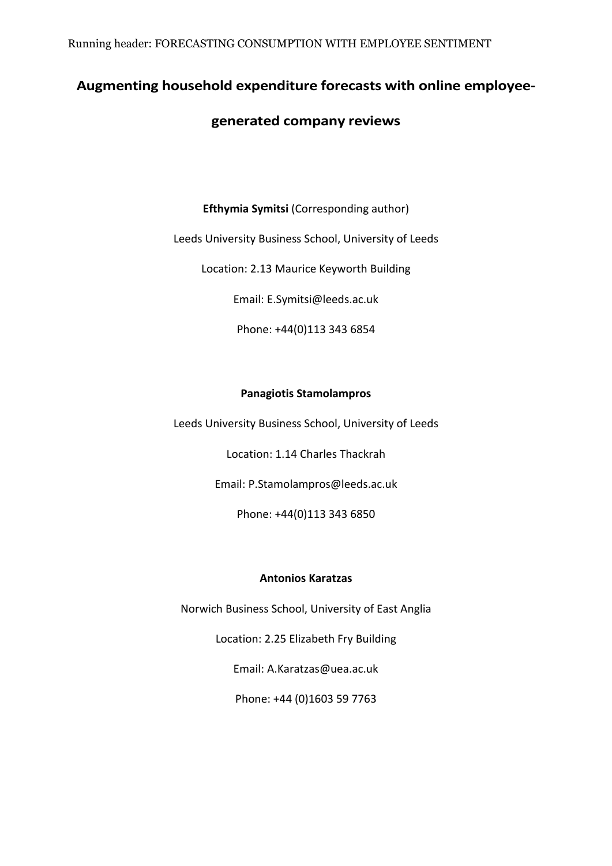Running header: FORECASTING CONSUMPTION WITH EMPLOYEE SENTIMENT

# <span id="page-0-0"></span>**Augmenting household expenditure forecasts with online employee-**

# **generated company reviews**

**Efthymia Symitsi** (Corresponding author)

Leeds University Business School, University of Leeds

Location: 2.13 Maurice Keyworth Building

Email: E.Symitsi@leeds.ac.uk

Phone: +44(0)113 343 6854

# **Panagiotis Stamolampros**

Leeds University Business School, University of Leeds

Location: 1.14 Charles Thackrah

Email: P.Stamolampros@leeds.ac.uk

Phone: +44(0)113 343 6850

# **Antonios Karatzas**

Norwich Business School, University of East Anglia

Location: 2.25 Elizabeth Fry Building

Email: A.Karatzas@uea.ac.uk

Phone: +44 (0)1603 59 7763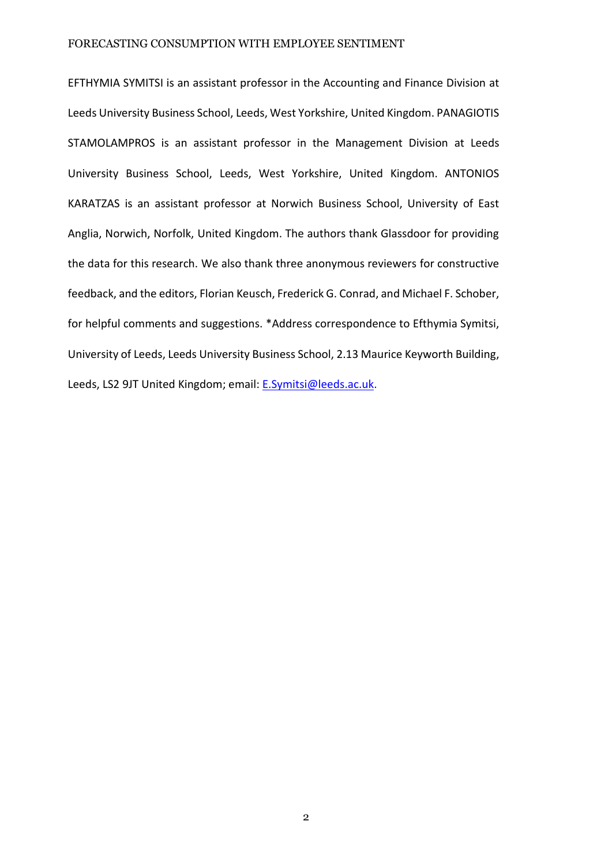EFTHYMIA SYMITSI is an assistant professor in the Accounting and Finance Division at Leeds University Business School, Leeds, West Yorkshire, United Kingdom. PANAGIOTIS STAMOLAMPROS is an assistant professor in the Management Division at Leeds University Business School, Leeds, West Yorkshire, United Kingdom. ANTONIOS KARATZAS is an assistant professor at Norwich Business School, University of East Anglia, Norwich, Norfolk, United Kingdom. The authors thank Glassdoor for providing the data for this research. We also thank three anonymous reviewers for constructive feedback, and the editors, Florian Keusch, Frederick G. Conrad, and Michael F. Schober, for helpful comments and suggestions. \*Address correspondence to Efthymia Symitsi, University of Leeds, Leeds University Business School, 2.13 Maurice Keyworth Building, Leeds, LS2 9JT United Kingdom; email: [E.Symitsi@leeds.ac.uk.](mailto:E.Symitsi@leeds.ac.uk)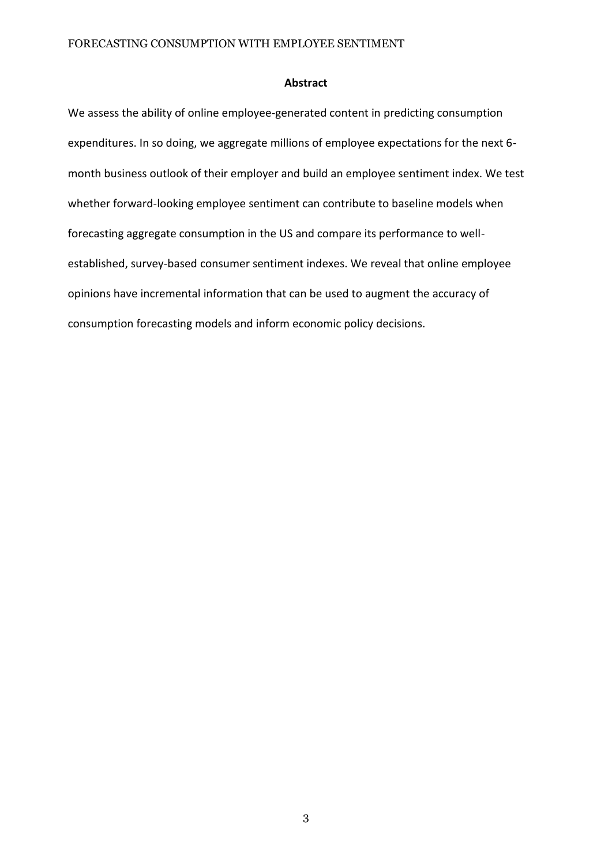#### **Abstract**

We assess the ability of online employee-generated content in predicting consumption expenditures. In so doing, we aggregate millions of employee expectations for the next 6 month business outlook of their employer and build an employee sentiment index. We test whether forward-looking employee sentiment can contribute to baseline models when forecasting aggregate consumption in the US and compare its performance to wellestablished, survey-based consumer sentiment indexes. We reveal that online employee opinions have incremental information that can be used to augment the accuracy of consumption forecasting models and inform economic policy decisions.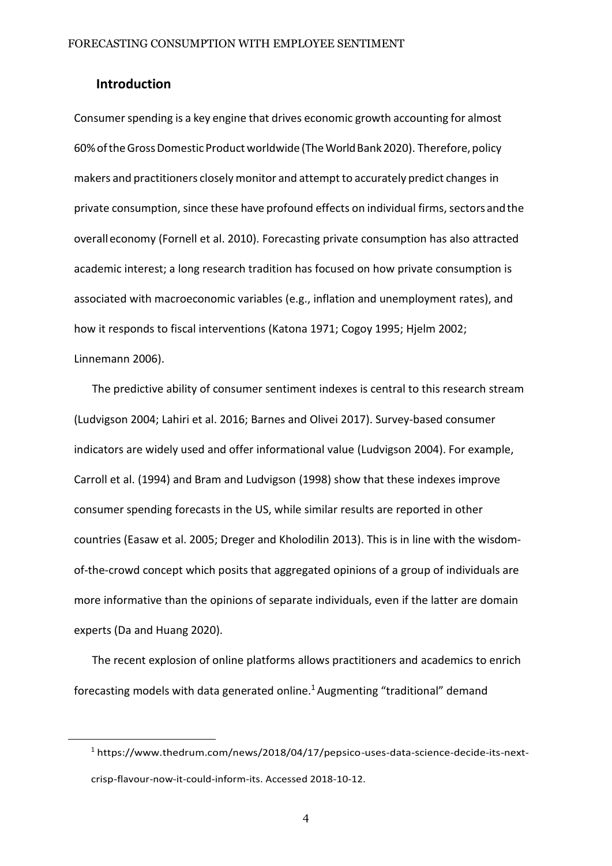# **Introduction**

Consumer spending is a key engine that drives economic growth accounting for almost 60%oftheGrossDomestic Productworldwide [\(TheWorldBank2020\).](#page-40-0) Therefore,policy makers and practitioners closely monitor and attempt to accurately predict changes in private consumption, since these have profound effects on individual firms, sectors and the overalleconomy ([Fornell et](#page-36-0) al. [2010\).](#page-36-0) Forecasting private consumption has also attracted academic interest; a long research tradition has focused on how private consumption is associated with macroeconomic variables (e.g., inflation and unemployment rates), and how it responds to fiscal interventions [\(Katona](#page-38-0) [1971;](#page-38-0) [Cogoy](#page-35-0) [1995;](#page-35-0) [Hjelm 2002;](#page-37-0) [Linnemann](#page-39-0) [2006\).](#page-39-0)

The predictive ability of consumer sentiment indexes is central to this research stream [\(Ludvigson 2004;](#page-39-1) [Lahiri et al. 2016;](#page-38-1) [Barnes and Olivei 2017\).](#page-33-0) Survey-based consumer indicators are widely used and offer informational value [\(Ludvigson 2004\).](#page-39-1) For example, [Carroll](#page-34-0) et al. [\(1994\)](#page-34-0) and Bram and [Ludvigson](#page-33-1) [\(1998\)](#page-33-1) show that these indexes improve consumer spending forecasts in the US, while similar results are reported in other countries [\(Easaw et al.](#page-36-1) [2005;](#page-36-1) [Dreger and Kholodilin](#page-36-2) [2013\).](#page-36-2) This is in line with the wisdomof-the-crowd concept which posits that aggregated opinions of a group of individuals are more informative than the opinions of separate individuals, even if the latter are domain experts (Da and [Huang](#page-35-1) [2020\).](#page-35-1)

The recent explosion of online platforms allows practitioners and academics to enrich forecasting models with data generated online.<sup>1</sup> Augmenting "traditional" demand

<sup>&</sup>lt;sup>1</sup> [https://www.thedrum.com/news/2018/04/17/pepsico-uses-data-science-decid](http://www.thedrum.com/news/2018/04/17/pepsico-uses-data-science-decide-its-next-crisp-)e-it[s-next](http://www.thedrum.com/news/2018/04/17/pepsico-uses-data-science-decide-its-next-crisp-)[crisp-f](http://www.thedrum.com/news/2018/04/17/pepsico-uses-data-science-decide-its-next-crisp-)lavour-now-it-could-inform-its. Accessed 2018-10-12.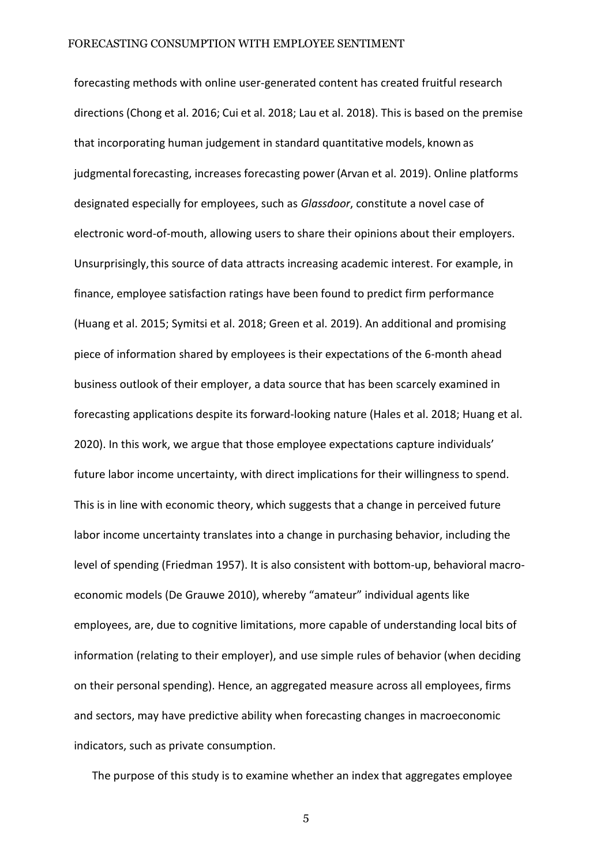forecasting methods with online user-generated content has created fruitful research directions [\(Chong](#page-34-1) et al. [2016;](#page-34-1) [Cui](#page-35-2) et al. [2018;](#page-35-2) [Lau](#page-38-2) et al. [2018\).](#page-38-2) This is based on the premise that incorporating human judgement in standard quantitative models, known as judgmental forecasting, increases forecasting power (Arvan [et al.](#page-33-2) [2019\).](#page-33-2) Online platforms designated especially for employees, such as *Glassdoor*, constitute a novel case of electronic word-of-mouth, allowing users to share their opinions about their employers. Unsurprisingly,this source of data attracts increasing academic interest. For example, in finance, employee satisfaction ratings have been found to predict firm performance [\(Huang et al. 2015;](#page-37-1) [Symitsi et al. 2018; G](#page-40-1)reen et al. 2019). An additional and promising piece of information shared by employees is their expectations of the 6-month ahead business outlook of their employer, a data source that has been scarcely examined in forecasting applications despite its forward-looking nature [\(Hales](#page-36-3) et [al.](#page-36-3) [2018; Huang](#page-36-3) et al. [2020\)](#page-37-2). In this work, we argue that those employee expectations capture individuals' future labor income uncertainty, with direct implications for their willingness to spend. This is in line with economic theory, which suggests that a change in perceived future labor income uncertainty translates into a change in purchasing behavior, including the level of spending ([Friedman](#page-36-4) [1957\).](#page-36-4) It is also consistent with bottom-up, behavioral macroeconomic models (De [Grauwe](#page-35-3) [2010\),](#page-35-3) whereby "amateur" individual agents like employees, are, due to cognitive limitations, more capable of understanding local bits of information (relating to their employer), and use simple rules of behavior (when deciding on their personal spending). Hence, an aggregated measure across all employees, firms and sectors, may have predictive ability when forecasting changes in macroeconomic indicators, such as private consumption.

The purpose of this study is to examine whether an index that aggregates employee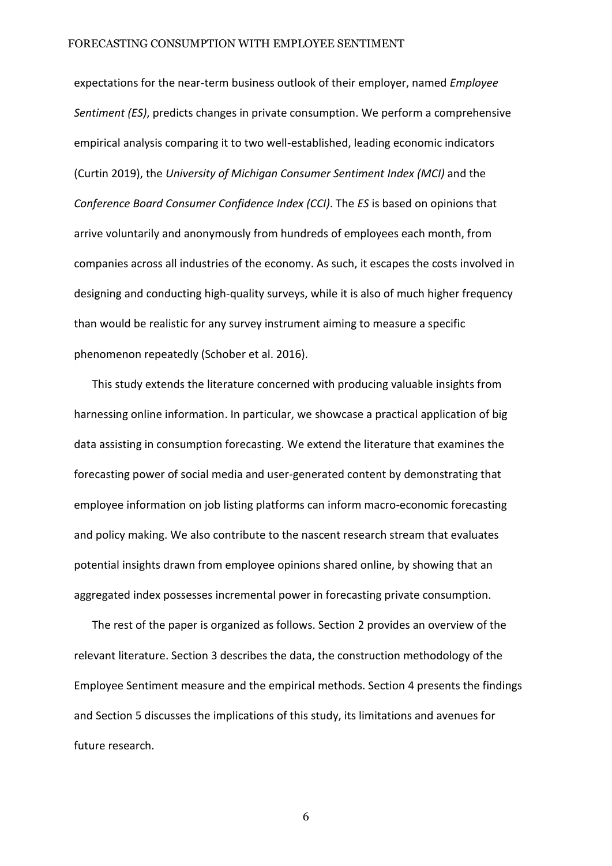expectations for the near-term business outlook of their employer, named *Employee Sentiment (ES)*, predicts changes in private consumption. We perform a comprehensive empirical analysis comparing it to two well-established, leading economic indicators [\(Curtin](#page-35-4) [2019\),](#page-35-4) the *University of Michigan Consumer Sentiment Index (MCI)* and the *Conference Board Consumer Confidence Index (CCI)*. The *ES* is based on opinions that arrive voluntarily and anonymously from hundreds of employees each month, from companies across all industries of the economy. As such, it escapes the costs involved in designing and conducting high-quality surveys, while it is also of much higher frequency than would be realistic for any survey instrument aiming to measure a specific phenomenon repeatedl[y \(Schober](#page-40-2) [et al.](#page-40-2) [2016\).](#page-40-2)

This study extends the literature concerned with producing valuable insights from harnessing online information. In particular, we showcase a practical application of big data assisting in consumption forecasting. We extend the literature that examines the forecasting power of social media and user-generated content by demonstrating that employee information on job listing platforms can inform macro-economic forecasting and policy making. We also contribute to the nascent research stream that evaluates potential insights drawn from employee opinions shared online, by showing that an aggregated index possesses incremental power in forecasting private consumption.

The rest of the paper is organized as follows. Section 2 provides an overview of the relevant literature. Section 3 describes the data, the construction methodology of the Employee Sentiment measure and the empirical methods. Section 4 presents the findings and Section 5 discusses the implications of this study, its limitations and avenues for future research.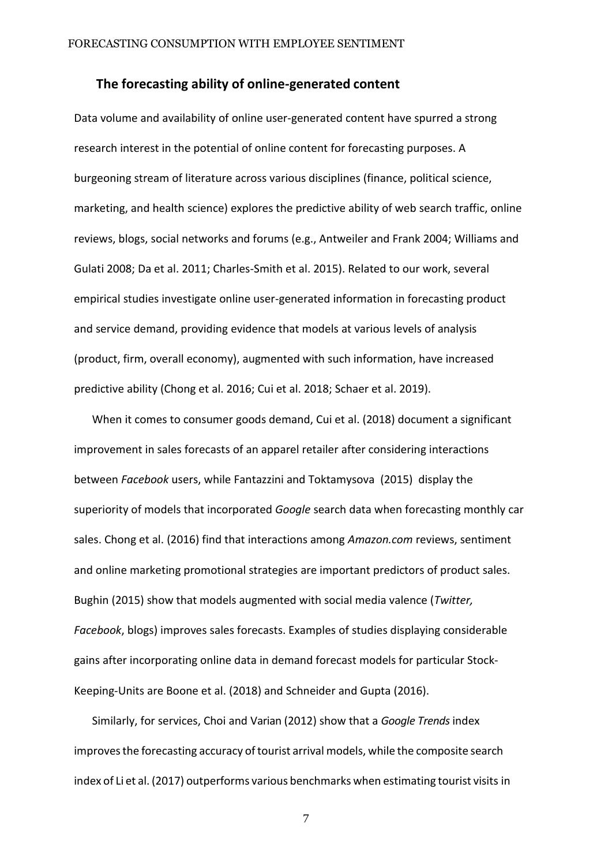#### **The forecasting ability of online-generated content**

Data volume and availability of online user-generated content have spurred a strong research interest in the potential of online content for forecasting purposes. A burgeoning stream of literature across various disciplines (finance, political science, marketing, and health science) explores the predictive ability of web search traffic, online reviews, blogs, social networks and forums (e.g.[, Antweiler and Frank](#page-33-3) [2004;](#page-33-3) [Williams](#page-41-0) and [Gulati](#page-41-0) [2008;](#page-41-0) [Da et al.](#page-35-5) [2011;](#page-35-5) [Charles-Smith](#page-34-2) et al. [2015\).](#page-34-2) Related to our work, several empirical studies investigate online user-generated information in forecasting product and service demand, providing evidence that models at various levels of analysis (product, firm, overall economy), augmented with such information, have increased predictive ability [\(Chong](#page-34-1) et al. [201](#page-34-1)6; [Cui](#page-35-2) et al. [2018;](#page-35-2) [Schaer](#page-40-3) et al. [2019\)](#page-40-3).

When it comes to consumer goods demand, [Cui et al.](#page-35-2) [\(2018\)](#page-35-2) document a significant improvement in sales forecasts of an apparel retailer after considering interactions between *Facebook* users, while [Fantazzini and](#page-36-5) Toktamysova [\(2015\)](#page-36-5) display the superiority of models that incorporated *Google* search data when forecasting monthly car sales. [Chong et al. \(2016](#page-34-1)) find that interactions among *Amazon.com* reviews, sentiment and online marketing promotional strategies are important predictors of product sales. [Bughin](#page-34-3) [\(2015\) s](#page-34-3)how that models augmented with social media valence (*Twitter, Facebook*, blogs) improves sales forecasts. Examples of studies displaying considerable gains after incorporating online data in demand forecast models for particular Stock-Keeping-Units ar[e Boone](#page-33-4) et al. [\(2018\)](#page-33-4) and [Schneider](#page-40-4) and Gupta [\(2016\).](#page-40-4)

Similarly, for services, [Choi and Varian](#page-34-4) [\(2012\)](#page-34-4) show that a *Google Trends* index improves the forecasting accuracy of tourist arrival models, while the composite search index of Li et [al.](#page-38-3) [\(2017\)](#page-38-3) outperforms various benchmarks when estimating tourist visits in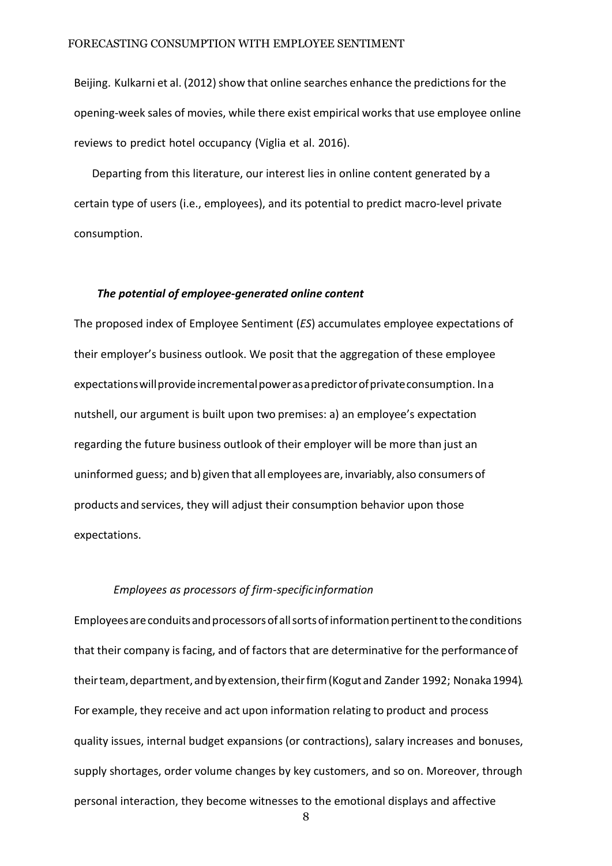Beijing. [Kulkarni](#page-38-4) et al. (2012) show that online searches enhance the predictions for the opening-week sales of movies, while there exist empirical worksthat use employee online reviews to predict hotel occupancy [\(Viglia](#page-41-1) et al. [2016\).](#page-41-1)

Departing from this literature, our interest lies in online content generated by a certain type of users (i.e., employees), and its potential to predict macro-level private consumption.

#### *The potential of employee-generated online content*

The proposed index of Employee Sentiment (*ES*) accumulates employee expectations of their employer's business outlook. We posit that the aggregation of these employee expectationswillprovideincrementalpowerasapredictorofprivateconsumption. Ina nutshell, our argument is built upon two premises: a) an employee's expectation regarding the future business outlook of their employer will be more than just an uninformed guess; and b) given that all employees are, invariably, also consumers of products and services, they will adjust their consumption behavior upon those expectations.

#### *Employees as processors of firm-specificinformation*

Employees are conduits and processors of all sorts of information pertinent to the conditions that their company is facing, and of factors that are determinative for the performanceof their team, department, and by extension, their firm [\(Kogut](#page-39-2) and [Zander](#page-39-2) 1992; Nonaka 1994). For example, they receive and act upon information relating to product and process quality issues, internal budget expansions (or contractions), salary increases and bonuses, supply shortages, order volume changes by key customers, and so on. Moreover, through personal interaction, they become witnesses to the emotional displays and affective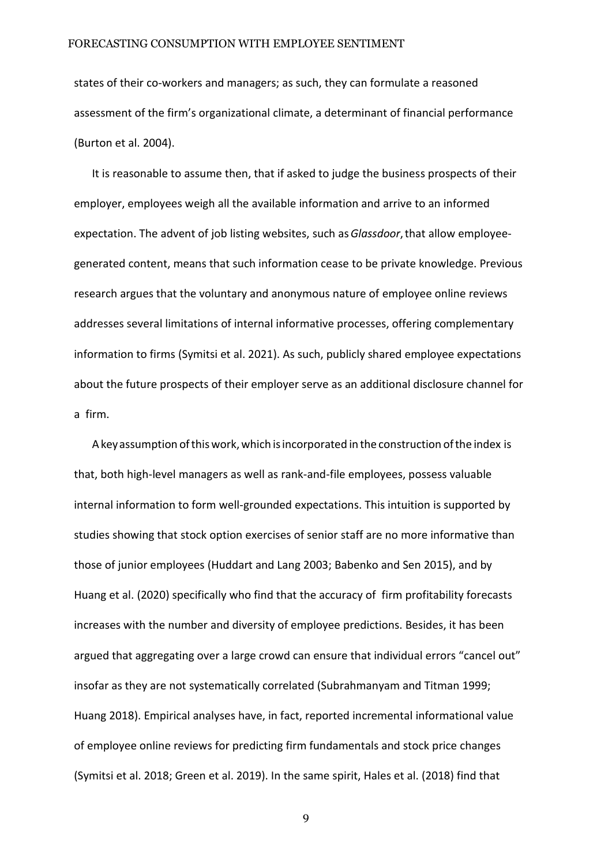states of their co-workers and managers; as such, they can formulate a reasoned assessment of the firm's organizational climate, a determinant of financial performance [\(Burton et al.](#page-34-5) [2004\).](#page-34-5)

It is reasonable to assume then, that if asked to judge the business prospects of their employer, employees weigh all the available information and arrive to an informed expectation. The advent of job listing websites, such as*Glassdoor*,that allow employeegenerated content, means that such information cease to be private knowledge. Previous research argues that the voluntary and anonymous nature of employee online reviews addresses several limitations of internal informative processes, offering complementary information to firms [\(Symitsi et al.](#page-40-5) [2021\).](#page-40-5) As such, publicly shared employee expectations about the future prospects of their employer serve as an additional disclosure channel for a firm.

A key assumption of this work, which is incorporated in the construction of the index is that, both high-level managers as well as rank-and-file employees, possess valuable internal information to form well-grounded expectations. This intuition is supported by studies showing that stock option exercises of senior staff are no more informative than those of junior employees [\(Huddart and Lang](#page-37-3) [2003;](#page-37-3) [Babenko and Sen](#page-33-5) [2015\),](#page-33-5) and by [Huang et al.](#page-37-2) [\(2020\)](#page-37-2) specifically who find that the accuracy of firm profitability forecasts increases with the number and diversity of employee predictions. Besides, it has been argued that aggregating over a large crowd can ensure that individual errors "cancel out" insofar as they are not systematically correlated [\(Subrahmanyam](#page-37-4) and Titman [1999;](#page-37-4) [Huang](#page-37-4) [2018\).](#page-37-4) Empirical analyses have, in fact, reported incremental informational value of employee online reviews for predicting firm fundamentals and stock price changes (Symitsi et al. 2018; Green et al. 2019). In the same spirit, [Hales](#page-36-3) et al. [\(2018\)](#page-36-3) find that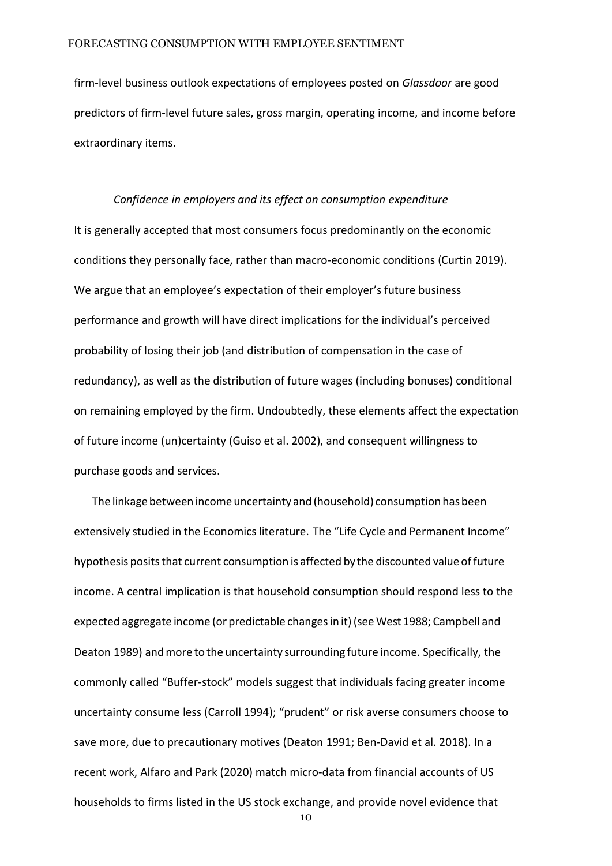firm-level business outlook expectations of employees posted on *Glassdoor* are good predictors of firm-level future sales, gross margin, operating income, and income before extraordinary items.

# *Confidence in employers and its effect on consumption expenditure* It is generally accepted that most consumers focus predominantly on the economic conditions they personally face, rather than macro-economic conditions [\(Curtin](#page-35-4) [2019\).](#page-35-4) We argue that an employee's expectation of their employer's future business performance and growth will have direct implications for the individual's perceived probability of losing their job (and distribution of compensation in the case of redundancy), as well as the distribution of future wages (including bonuses) conditional on remaining employed by the firm. Undoubtedly, these elements affect the expectation of future income (un)certaint[y \(Guiso](#page-36-6) et al. [2002\),](#page-36-6) and consequent willingness to purchase goods and services.

The linkage between income uncertainty and (household) consumption has been extensively studied in the Economics literature. The "Life Cycle and Permanent Income" hypothesis posits that current consumption is affected by the discounted value of future income. A central implication is that household consumption should respond less to the expected aggregate income (or predictable changesin it)(se[eWest1988;](#page-41-2) [Campbell](#page-34-6) and [Deaton](#page-34-6) [1989\)](#page-34-6) andmore to the uncertainty surrounding future income. Specifically, the commonly called "Buffer-stock" models suggest that individuals facing greater income uncertainty consume less [\(Carroll](#page-34-7) [1994\);](#page-34-7) "prudent" or risk averse consumers choose to save more, due to precautionary motives [\(Deaton](#page-33-6) [1991; Ben-David et al.](#page-33-6) [2018\).](#page-33-6) In a recent work, [Alfaro and Park](#page-33-7) [\(2020\)](#page-33-7) match micro-data from financial accounts of US households to firms listed in the US stock exchange, and provide novel evidence that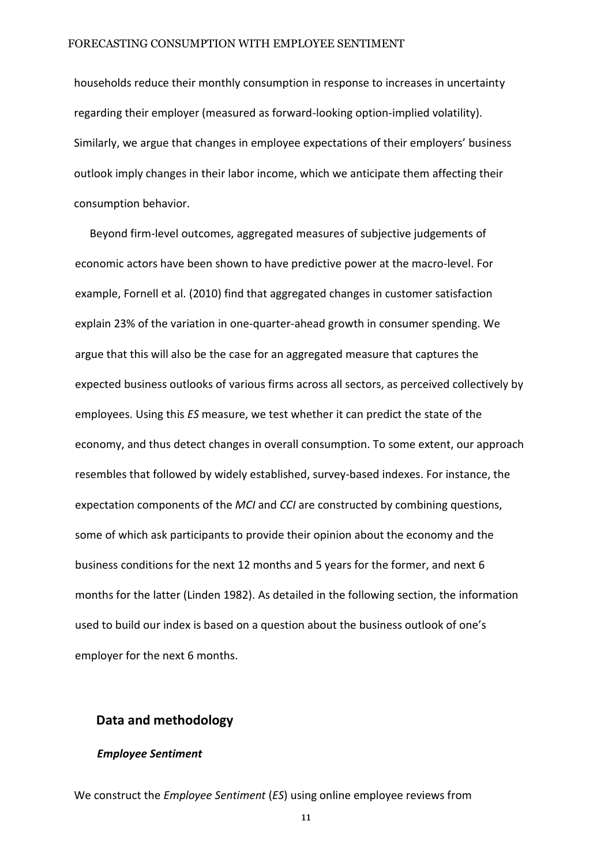households reduce their monthly consumption in response to increases in uncertainty regarding their employer (measured as forward-looking option-implied volatility). Similarly, we argue that changes in employee expectations of their employers' business outlook imply changes in their labor income, which we anticipate them affecting their consumption behavior.

Beyond firm-level outcomes, aggregated measures of subjective judgements of economic actors have been shown to have predictive power at the macro-level. For example, [Fornell et](#page-36-0) al. [\(2010\)](#page-36-0) find that aggregated changes in customer satisfaction explain 23% of the variation in one-quarter-ahead growth in consumer spending. We argue that this will also be the case for an aggregated measure that captures the expected business outlooks of various firms across all sectors, as perceived collectively by employees. Using this *ES* measure, we test whether it can predict the state of the economy, and thus detect changes in overall consumption. To some extent, our approach resembles that followed by widely established, survey-based indexes. For instance, the expectation components of the *MCI* and *CCI* are constructed by combining questions, some of which ask participants to provide their opinion about the economy and the business conditions for the next 12 months and 5 years for the former, and next 6 months for the latter [\(Linden](#page-38-5) [1982\).](#page-38-5) As detailed in the following section, the information used to build our index is based on a question about the business outlook of one's employer for the next 6 months.

# **Data and methodology**

#### *Employee Sentiment*

We construct the *Employee Sentiment* (*ES*) using online employee reviews from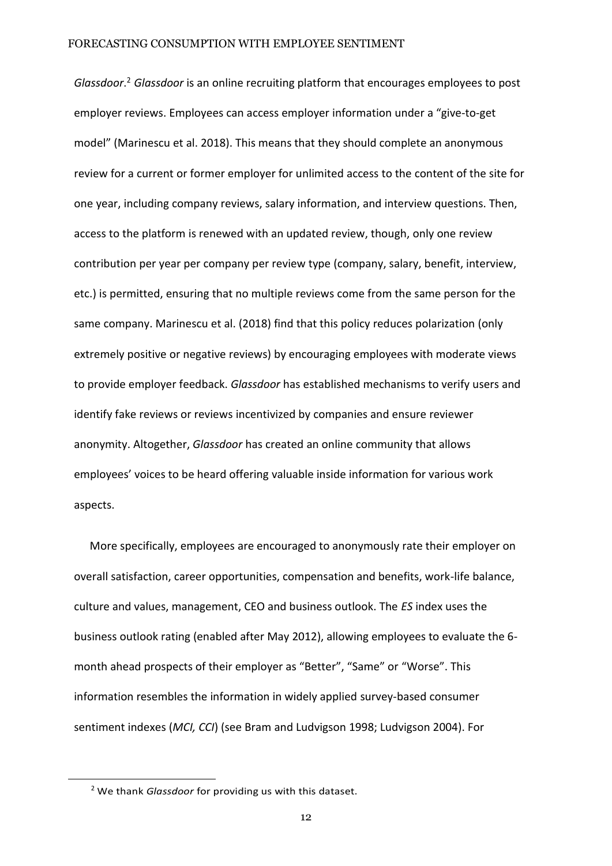*Glassdoor*. <sup>2</sup> *Glassdoor* is an online recruiting platform that encourages employees to post employer reviews. Employees can access employer information under a "give-to-get model" [\(Marinescu](#page-39-3) et al. [2018\)](#page-39-3). This means that they should complete an anonymous review for a current or former employer for unlimited access to the content of the site for one year, including company reviews, salary information, and interview questions. Then, access to the platform is renewed with an updated review, though, only one review contribution per year per company per review type (company, salary, benefit, interview, etc.) is permitted, ensuring that no multiple reviews come from the same person for the same company. Marinescu et al. (2018) find that this policy reduces polarization (only extremely positive or negative reviews) by encouraging employees with moderate views to provide employer feedback. *Glassdoor* has established mechanisms to verify users and identify fake reviews or reviews incentivized by companies and ensure reviewer anonymity. Altogether, *Glassdoor* has created an online community that allows employees' voices to be heard offering valuable inside information for various work aspects.

More specifically, employees are encouraged to anonymously rate their employer on overall satisfaction, career opportunities, compensation and benefits, work-life balance, culture and values, management, CEO and business outlook. The *ES* index uses the business outlook rating (enabled after May 2012), allowing employees to evaluate the 6 month ahead prospects of their employer as "Better", "Same" or "Worse". This information resembles the information in widely applied survey-based consumer sentiment indexes (*MCI, CCI*) (see Bram and [Ludvigson](#page-33-1) [1998;](#page-33-1) [Ludvigson](#page-39-1) [2004\)](#page-39-1). For

<sup>2</sup> We thank *Glassdoor* for providing us with this dataset.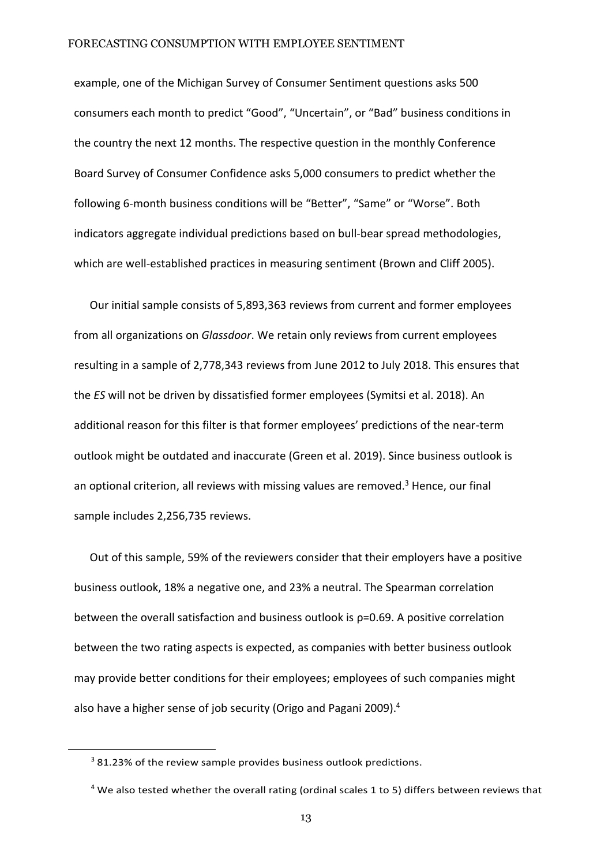example, one of the Michigan Survey of Consumer Sentiment questions asks 500 consumers each month to predict "Good", "Uncertain", or "Bad" business conditions in the country the next 12 months. The respective question in the monthly Conference Board Survey of Consumer Confidence asks 5,000 consumers to predict whether the following 6-month business conditions will be "Better", "Same" or "Worse". Both indicators aggregate individual predictions based on bull-bear spread methodologies, which are well-established practices in measuring sentiment [\(Brown and](#page-33-8) [Cliff](#page-33-8) [2005\).](#page-33-8)

Our initial sample consists of 5,893,363 reviews from current and former employees from all organizations on *Glassdoor*. We retain only reviews from current employees resulting in a sample of 2,778,343 reviews from June 2012 to July 2018. This ensures that the *ES* will not be driven by dissatisfied former employees [\(Symitsi](#page-40-1) et al. [2018\).](#page-40-1) An additional reason for this filter is that former employees' predictions of the near-term outlook might be outdated and inaccurate (Green et al. 2019). Since business outlook is an optional criterion, all reviews with missing values are removed.<sup>3</sup> Hence, our final sample includes 2,256,735 reviews.

Out of this sample, 59% of the reviewers consider that their employers have a positive business outlook, 18% a negative one, and 23% a neutral. The Spearman correlation between the overall satisfaction and business outlook is ρ=0.69. A positive correlation between the two rating aspects is expected, as companies with better business outlook may provide better conditions for their employees; employees of such companies might also have a higher sense of job security (Origo and [Pagani](#page-39-4) [2009\).](#page-39-4)<sup>4</sup>

 $3$  81.23% of the review sample provides business outlook predictions.

 $4$  We also tested whether the overall rating (ordinal scales 1 to 5) differs between reviews that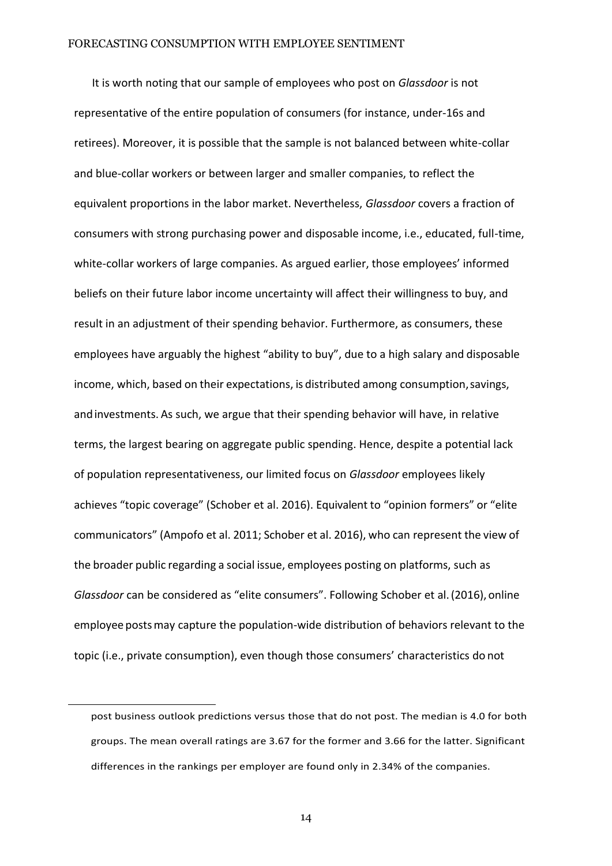It is worth noting that our sample of employees who post on *Glassdoor* is not representative of the entire population of consumers (for instance, under-16s and retirees). Moreover, it is possible that the sample is not balanced between white-collar and blue-collar workers or between larger and smaller companies, to reflect the equivalent proportions in the labor market. Nevertheless, *Glassdoor* covers a fraction of consumers with strong purchasing power and disposable income, i.e., educated, full-time, white-collar workers of large companies. As argued earlier, those employees' informed beliefs on their future labor income uncertainty will affect their willingness to buy, and result in an adjustment of their spending behavior. Furthermore, as consumers, these employees have arguably the highest "ability to buy", due to a high salary and disposable income, which, based on their expectations, is distributed among consumption, savings, andinvestments. As such, we argue that their spending behavior will have, in relative terms, the largest bearing on aggregate public spending. Hence, despite a potential lack of population representativeness, our limited focus on *Glassdoor* employees likely achieves "topic coverage" ([Schober et al.](#page-40-2) [2016\).](#page-40-2) Equivalent to "opinion formers" or "elite communicators" [\(Ampofo](#page-33-9) et al. [2011;](#page-33-9) [Schober](#page-40-2) et al. [2016\),](#page-40-2) who can represent the view of the broader public regarding a social issue, employees posting on platforms, such as *Glassdoor* can be considered as "elite consumers". Following [Schober](#page-40-2) et [al.\(2016\),](#page-40-2) online employee postsmay capture the population-wide distribution of behaviors relevant to the topic (i.e., private consumption), even though those consumers' characteristics do not

post business outlook predictions versus those that do not post. The median is 4.0 for both groups. The mean overall ratings are 3.67 for the former and 3.66 for the latter. Significant differences in the rankings per employer are found only in 2.34% of the companies.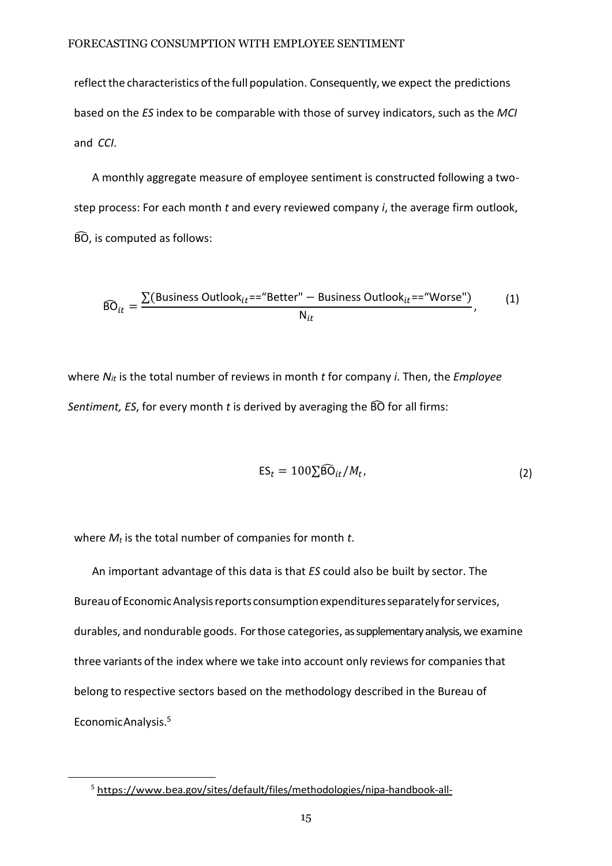reflect the characteristics of the full population. Consequently, we expect the predictions based on the *ES* index to be comparable with those of survey indicators, such as the *MCI*  and *CCI*.

A monthly aggregate measure of employee sentiment is constructed following a twostep process: For each month *t* and every reviewed company *i*, the average firm outlook, BÔ, is computed as follows:

$$
\widehat{\text{BO}}_{it} = \frac{\sum(\text{Business Outlook}_{it} == \text{"Better"} - \text{Business Outlook}_{it} == \text{"Worse"})}{N_{it}},\tag{1}
$$

where *Nit* is the total number of reviews in month *t* for company *i*. Then, the *Employee Sentiment, ES*, for every month *t* is derived by averaging the BÔ for all firms:

$$
ES_t = 100 \sum \widehat{BO}_{it}/M_t, \qquad (2)
$$

where *M<sup>t</sup>* is the total number of companies for month *t*.

An important advantage of this data is that *ES* could also be built by sector. The BureauofEconomicAnalysisreports consumptionexpendituresseparatelyforservices, durables, and nondurable goods. Forthose categories, as supplementary analysis, we examine three variants of the index where we take into account only reviews for companies that belong to respective sectors based on the methodology described in the Bureau of EconomicAnalysis.<sup>5</sup>

<sup>&</sup>lt;sup>5</sup> [https://www.b](https://www.b/)[ea.go](#page-41-3)[v/sites/default/files/methodologies/nipa-handb](http://www.bea.gov/sites/default/files/methodologies/nipa-handbook-all-chapters.pdf#page%3D90)[o](#page-41-3)[ok-all-](http://www.bea.gov/sites/default/files/methodologies/nipa-handbook-all-chapters.pdf#page%3D90)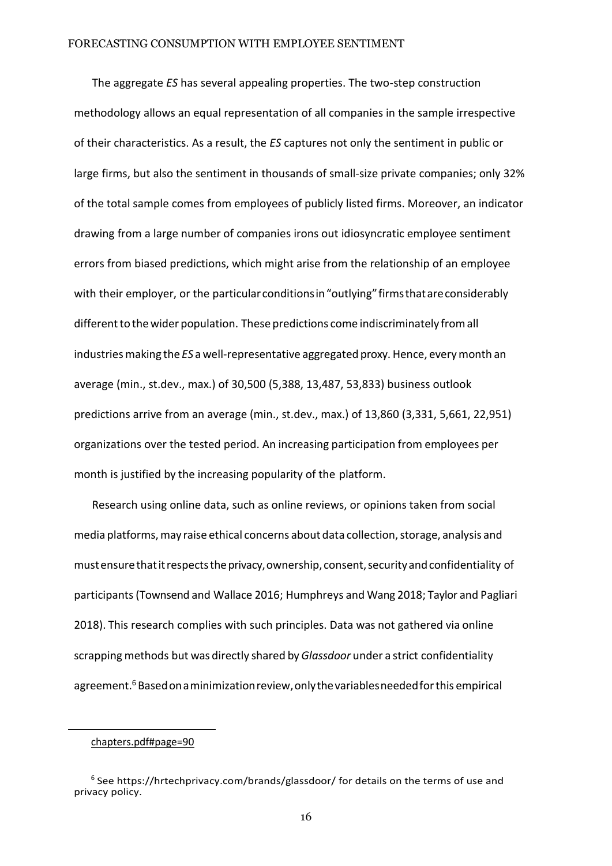The aggregate *ES* has several appealing properties. The two-step construction methodology allows an equal representation of all companies in the sample irrespective of their characteristics. As a result, the *ES* captures not only the sentiment in public or large firms, but also the sentiment in thousands of small-size private companies; only 32% of the total sample comes from employees of publicly listed firms. Moreover, an indicator drawing from a large number of companies irons out idiosyncratic employee sentiment errors from biased predictions, which might arise from the relationship of an employee with their employer, or the particular conditions in "outlying" firms that are considerably different to the wider population. These predictions come indiscriminately from all industries making the *ES* a well-representative aggregated proxy. Hence, every month an average (min., st.dev., max.) of 30,500 (5,388, 13,487, 53,833) business outlook predictions arrive from an average (min., st.dev., max.) of 13,860 (3,331, 5,661, 22,951) organizations over the tested period. An increasing participation from employees per month is justified by the increasing popularity of the platform.

Research using online data, such as online reviews, or opinions taken from social media platforms, may raise ethical concerns about data collection, storage, analysis and mustensurethatitrespectstheprivacy,ownership,consent,securityandconfidentiality of participants[\(Townsend](#page-37-5) and [Wallace](#page-37-5) [2016; Humphreys](#page-37-5) and Wang [2018](#page-37-5); Taylor and [Pagliari](#page-40-6) [2018\).](#page-40-6) This research complies with such principles. Data was not gathered via online scrapping methods but was directly shared by*Glassdoor* under a strict confidentiality agreement.<sup>6</sup> Based on a minimization review, only the variables needed for this empirical

[chapters.pdf#page=90](http://www.bea.gov/sites/default/files/methodologies/nipa-handbook-all-chapters.pdf#page%3D90)

<sup>&</sup>lt;sup>6</sup> See https://hrtechprivacy.com/brands/glassdoor/ for details on the terms of use and privacy policy.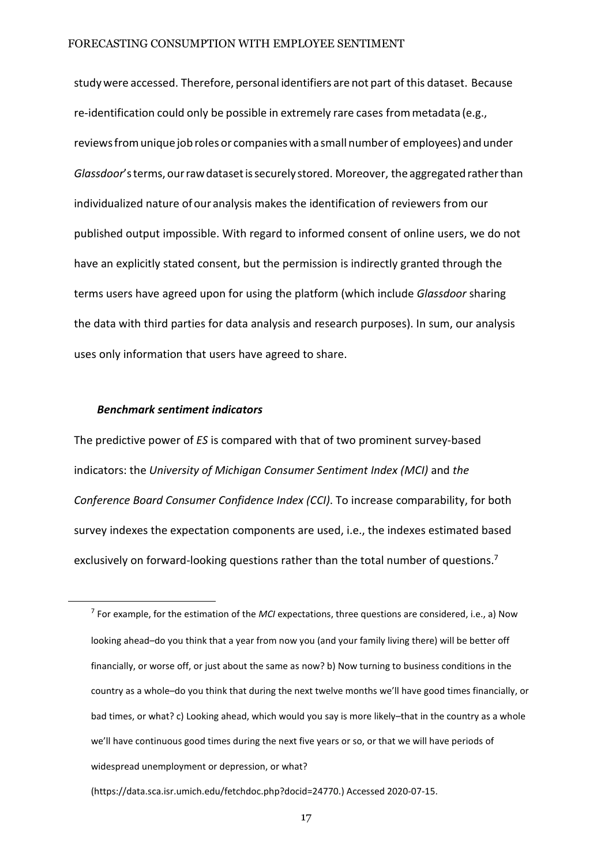studywere accessed. Therefore, personal identifiers are not part of this dataset. Because re-identification could only be possible in extremely rare cases frommetadata (e.g., reviewsfromunique job roles or companieswith a small number of employees) and under Glassdoor's terms, our raw dataset is securely stored. Moreover, the aggregated rather than individualized nature ofour analysis makes the identification of reviewers from our published output impossible. With regard to informed consent of online users, we do not have an explicitly stated consent, but the permission is indirectly granted through the terms users have agreed upon for using the platform (which include *Glassdoor* sharing the data with third parties for data analysis and research purposes). In sum, our analysis uses only information that users have agreed to share.

#### *Benchmark sentiment indicators*

The predictive power of *ES* is compared with that of two prominent survey-based indicators: the *University of Michigan Consumer Sentiment Index (MCI)* and *the Conference Board Consumer Confidence Index (CCI)*. To increase comparability, for both survey indexes the expectation components are used, i.e., the indexes estimated based exclusively on forward-looking questions rather than the total number of questions.<sup>7</sup>

<sup>7</sup> For example, for the estimation of the *MCI* expectations, three questions are considered, i.e., a) Now looking ahead–do you think that a year from now you (and your family living there) will be better off financially, or worse off, or just about the same as now? b) Now turning to business conditions in the country as a whole–do you think that during the next twelve months we'll have good times financially, or bad times, or what? c) Looking ahead, which would you say is more likely–that in the country as a whole we'll have continuous good times during the next five years or so, or that we will have periods of widespread unemployment or depression, or what?

[<sup>\(</sup>https://data.sca.isr.umich.edu/fetchdoc.php?docid=24770.](https://data.sca.isr.umich.edu/fetchdoc.php?docid=24770)) Accessed 2020-07-15.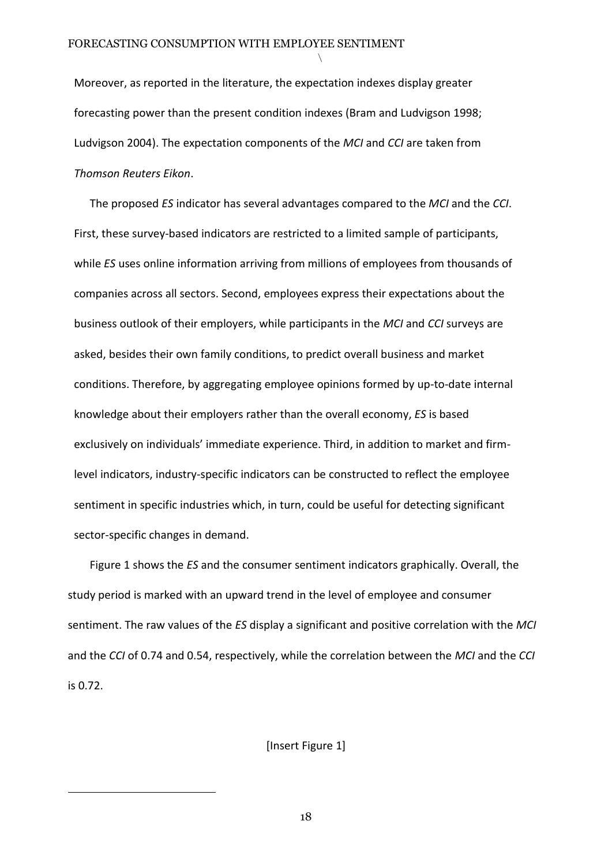Moreover, as reported in the literature, the expectation indexes display greater forecasting power than the present condition indexes (Bram and [Ludvigson](#page-33-1) [1998;](#page-33-1) [Ludvigson](#page-39-1) [2004\).](#page-39-1) The expectation components of the *MCI* and *CCI* are taken from *Thomson Reuters Eikon*.

*\*

The proposed *ES* indicator has several advantages compared to the *MCI* and the *CCI*. First, these survey-based indicators are restricted to a limited sample of participants, while *ES* uses online information arriving from millions of employees from thousands of companies across all sectors. Second, employees express their expectations about the business outlook of their employers, while participants in the *MCI* and *CCI* surveys are asked, besides their own family conditions, to predict overall business and market conditions. Therefore, by aggregating employee opinions formed by up-to-date internal knowledge about their employers rather than the overall economy, *ES* is based exclusively on individuals' immediate experience. Third, in addition to market and firmlevel indicators, industry-specific indicators can be constructed to reflect the employee sentiment in specific industries which, in turn, could be useful for detecting significant sector-specific changes in demand.

Figure 1 shows the *ES* and the consumer sentiment indicators graphically. Overall, the study period is marked with an upward trend in the level of employee and consumer sentiment. The raw values of the *ES* display a significant and positive correlation with the *MCI* and the *CCI* of 0.74 and 0.54, respectively, while the correlation between the *MCI* and the *CCI* is 0.72.

[Insert Figure 1]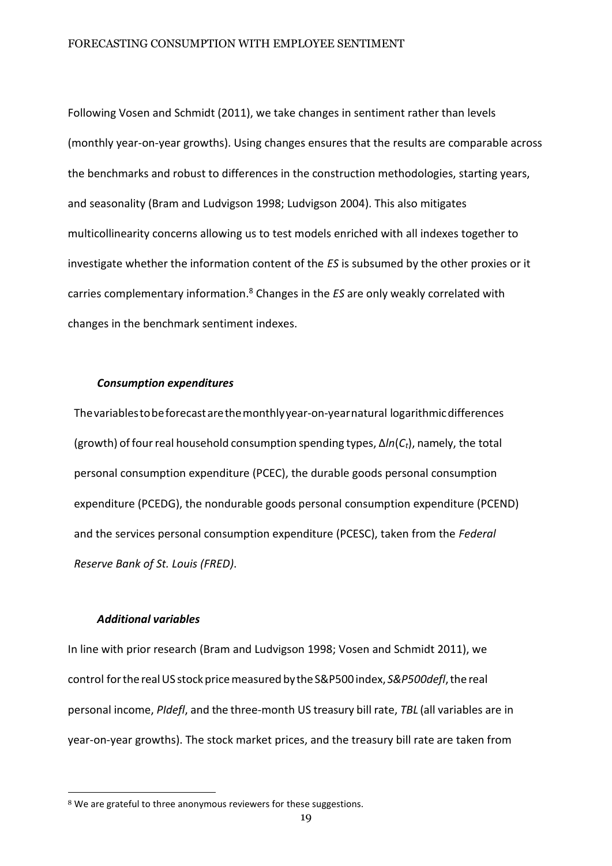Following Vosen and Schmidt (2011), we take changes in sentiment rather than levels (monthly year-on-year growths). Using changes ensures that the results are comparable across the benchmarks and robust to differences in the construction methodologies, starting years, and seasonality (Bram and Ludvigson 1998; Ludvigson 2004). This also mitigates multicollinearity concerns allowing us to test models enriched with all indexes together to investigate whether the information content of the *ES* is subsumed by the other proxies or it carries complementary information.<sup>8</sup> Changes in the *ES* are only weakly correlated with changes in the benchmark sentiment indexes.

#### *Consumption expenditures*

Thevariablestobeforecastarethemonthlyyear-on-yearnatural logarithmicdifferences (growth) of fourreal household consumption spending types, ∆*ln*(*Ct*), namely, the total personal consumption expenditure (PCEC), the durable goods personal consumption expenditure (PCEDG), the nondurable goods personal consumption expenditure (PCEND) and the services personal consumption expenditure (PCESC), taken from the *Federal Reserve Bank of St. Louis (FRED)*.

#### *Additional variables*

In line with prior research [\(Bram and Ludvigson](#page-33-1) [1998;](#page-33-1) [Vosen and Schmidt](#page-41-4) [2011\),](#page-41-4) we control forthe realUS stockpricemeasured bytheS&P500index, *S&P500defl*,the real personal income, *PIdefl*, and the three-month US treasury bill rate, *TBL* (all variables are in year-on-year growths). The stock market prices, and the treasury bill rate are taken from

<sup>8</sup> We are grateful to three anonymous reviewers for these suggestions.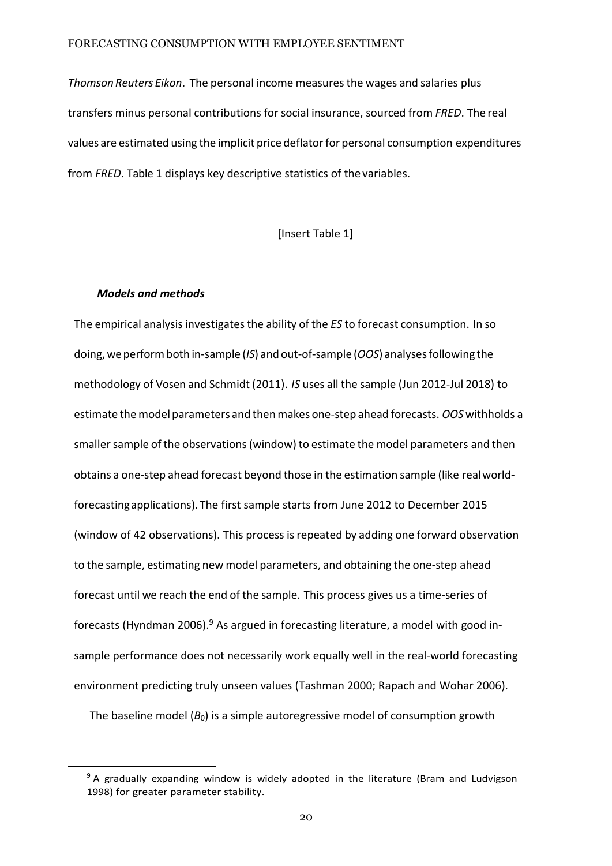*ThomsonReuters Eikon*. The personal income measuresthe wages and salaries plus transfers minus personal contributions for social insurance, sourced from *FRED*. The real values are estimated using the implicit price deflatorfor personal consumption expenditures from *FRED*. Tabl[e 1 d](#page-19-0)isplays key descriptive statistics of thevariables.

<span id="page-19-0"></span>[Insert Table 1]

#### *Models and methods*

The empirical analysisinvestigatesthe ability of the *ES* to forecast consumption. In so doing,weperformboth in-sample (*IS*) and out-of-sample (*OOS*) analysesfollowing the methodology of Vosen and [Schmidt](#page-41-4) [\(2011\).](#page-41-4) *IS* uses all the sample (Jun 2012-Jul 2018) to estimate themodel parameters and thenmakes one-step ahead forecasts. *OOS* withholds a smaller sample of the observations (window) to estimate the model parameters and then obtains a one-step ahead forecast beyond those in the estimation sample (like realworldforecastingapplications). The first sample starts from June 2012 to December 2015 (window of 42 observations). This process isrepeated by adding one forward observation to the sample, estimating new model parameters, and obtaining the one-step ahead forecast until we reach the end of the sample. This process gives us a time-series of forecasts [\(Hyndman 20](#page-38-6)06). $9$  As argued in forecasting literature, a model with good insample performance does not necessarily work equally well in the real-world forecasting environment predicting truly unseen values [\(Tashman 2000;](#page-40-7) [Rapach and](#page-39-5) [Wohar 2006\).](#page-39-5)

The baseline model  $(B_0)$  is a simple autoregressive model of consumption growth

 $9A$  gradually expanding window is widely adopted in the literature (Bram and [Ludvigson](#page-33-1) [1998\)](#page-33-1) for greater parameter stability.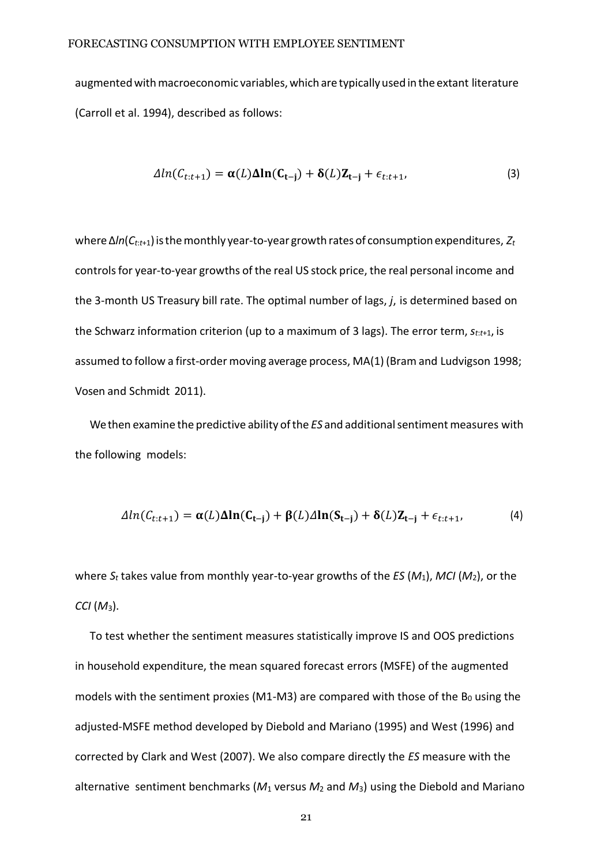augmented with macroeconomic variables, which are typically used in the extant literature [\(Carroll et al. 1994\), d](#page-34-0)escribed as follows:

<span id="page-20-0"></span>
$$
\Delta ln(C_{t:t+1}) = \alpha(L)\Delta ln(C_{t-j}) + \delta(L)Z_{t-j} + \epsilon_{t:t+1},
$$
\n(3)

where∆*ln*(*Ct*:*t*+1)isthemonthly year-to-year growth rates of consumption expenditures, *Z<sup>t</sup>* controls for year-to-year growths of the real US stock price, the real personal income and the 3-month US Treasury bill rate. The optimal number of lags, *j*, is determined based on the Schwarz information criterion (up to a maximum of 3 lags). The error term, *st*:*t*+1, is assumed to follow a first-order moving average process, MA(1) [\(Bram](#page-33-1) and [Ludvigson 1998;](#page-33-1)  [Vosen and Schmidt](#page-41-4) [2011\)](#page-41-4).

We then examine the predictive ability of the *ES* and additional sentiment measures with the following models:

$$
\Delta ln(C_{t:t+1}) = \alpha(L)\Delta ln(C_{t-j}) + \beta(L)\Delta ln(S_{t-j}) + \delta(L)Z_{t-j} + \epsilon_{t:t+1},
$$
\n(4)

where *S<sup>t</sup>* takes value from monthly year-to-year growths of the *ES* (*M*1), *MCI* (*M*2), or the *CCI* (*M*3).

To test whether the sentiment measures statistically improve IS and OOS predictions in household expenditure, the mean squared forecast errors (MSFE) of the augmented models with the sentiment proxies (M1-M3) are compared with those of the  $B_0$  using the adjusted-MSFE method developed by [Diebold and Mariano \(1995\) a](#page-35-6)n[d West \(1996\)](#page-41-5) and corrected by Clark [and West \(2007\).](#page-35-7) We also compare directly the *ES* measure with the alternative sentiment benchmarks (*M*<sup>1</sup> versus *M*<sup>2</sup> and *M*3) using the [Diebold and](#page-35-6) [Mariano](#page-35-6)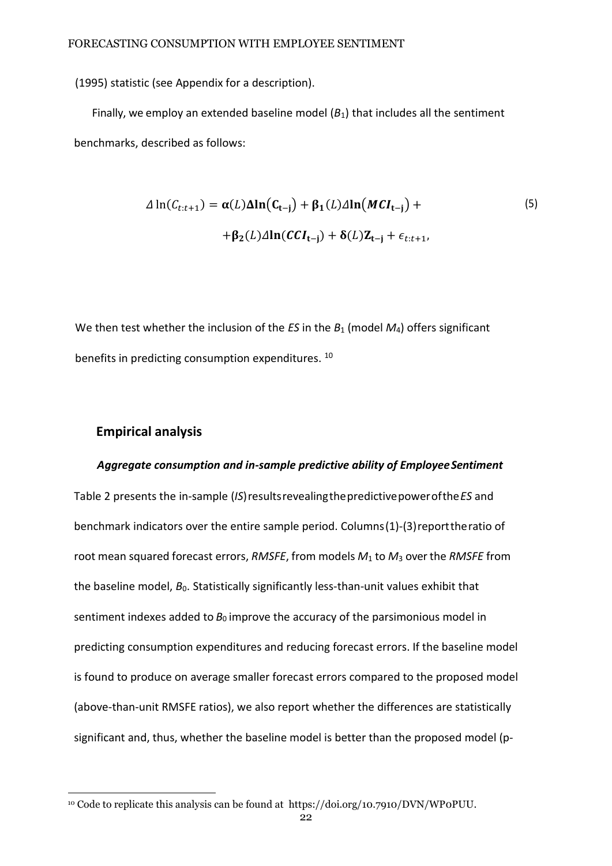[\(1995\) s](#page-35-6)tatistic (see Appendix for a description).

Finally, we employ an extended baseline model  $(B_1)$  that includes all the sentiment benchmarks, described as follows:

$$
\Delta \ln(C_{t:t+1}) = \alpha(L)\Delta \ln(C_{t-j}) + \beta_1(L)\Delta \ln(MCI_{t-j}) +
$$
  
+ 
$$
\beta_2(L)\Delta \ln(CCI_{t-j}) + \delta(L)Z_{t-j} + \epsilon_{t:t+1},
$$
 (5)

We then test whether the inclusion of the *ES* in the *B*<sub>1</sub> (model *M*<sub>4</sub>) offers significant benefits in predicting consumption expenditures.<sup>10</sup>

#### **Empirical analysis**

#### *Aggregate consumption and in-sample predictive ability of EmployeeSentiment*

Table [2](#page-22-0) presents the in-sample (*IS*)resultsrevealingthepredictivepowerofthe*ES* and benchmark indicators over the entire sample period. Columns(1)-(3)reporttheratio of root mean squared forecast errors, *RMSFE*, from models *M*<sup>1</sup> to *M*<sup>3</sup> over the *RMSFE* from the baseline model, *B*0. Statistically significantly less-than-unit values exhibit that sentiment indexes added to *B*<sub>0</sub> improve the accuracy of the parsimonious model in predicting consumption expenditures and reducing forecast errors. If the baseline model is found to produce on average smaller forecast errors compared to the proposed model (above-than-unit RMSFE ratios), we also report whether the differences are statistically significant and, thus, whether the baseline model is better than the proposed model (p-

<sup>10</sup> Code to replicate this analysis can be found at [https://doi.org/10.7910/DVN/WP0PUU.](https://doi.org/10.7910/DVN/WP0PUU)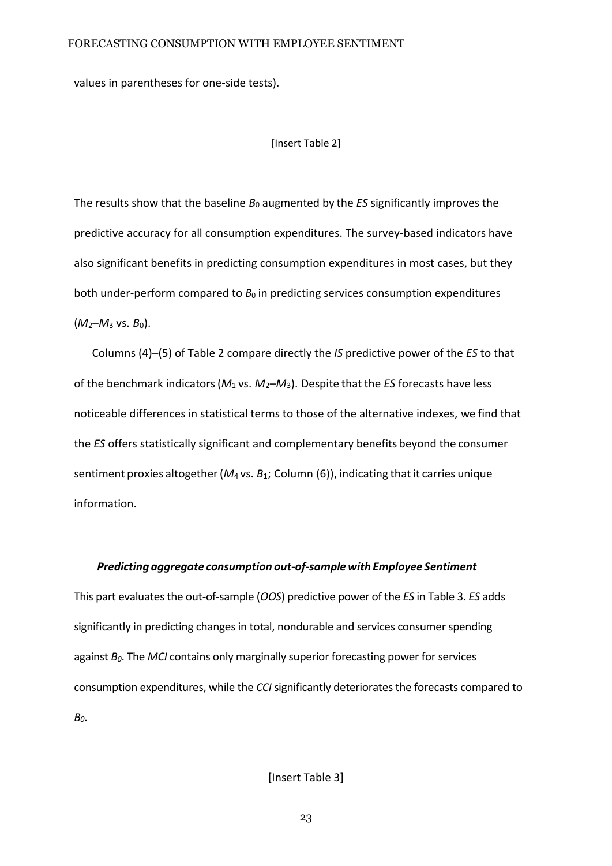values in parentheses for one-side tests).

[Insert Table 2]

<span id="page-22-0"></span>The results show that the baseline *B*<sup>0</sup> augmented by the *ES* significantly improves the predictive accuracy for all consumption expenditures. The survey-based indicators have also significant benefits in predicting consumption expenditures in most cases, but they both under-perform compared to  $B_0$  in predicting services consumption expenditures (*M*2–*M*<sup>3</sup> vs. *B*0).

Columns (4)–(5) of Table [2](#page-22-0) compare directly the *IS* predictive power of the *ES* to that of the benchmark indicators(*M*<sup>1</sup> vs. *M*2–*M*3). Despite that the *ES* forecasts have less noticeable differences in statistical terms to those of the alternative indexes, we find that the *ES* offers statistically significant and complementary benefits beyond the consumer sentiment proxies altogether(*M*<sup>4</sup> vs. *B*1; Column (6)), indicating that it carries unique information.

#### *Predicting aggregate consumption out-of-samplewith Employee Sentiment*

This part evaluates the out-of-sample (*OOS*) predictive power of the *ES* in Table 3. *ES* adds significantly in predicting changes in total, nondurable and services consumer spending against *B0*. The *MCI* contains only marginally superior forecasting power for services consumption expenditures, while the *CCI* significantly deteriorates the forecasts compared to *B0*.

[Insert Table 3]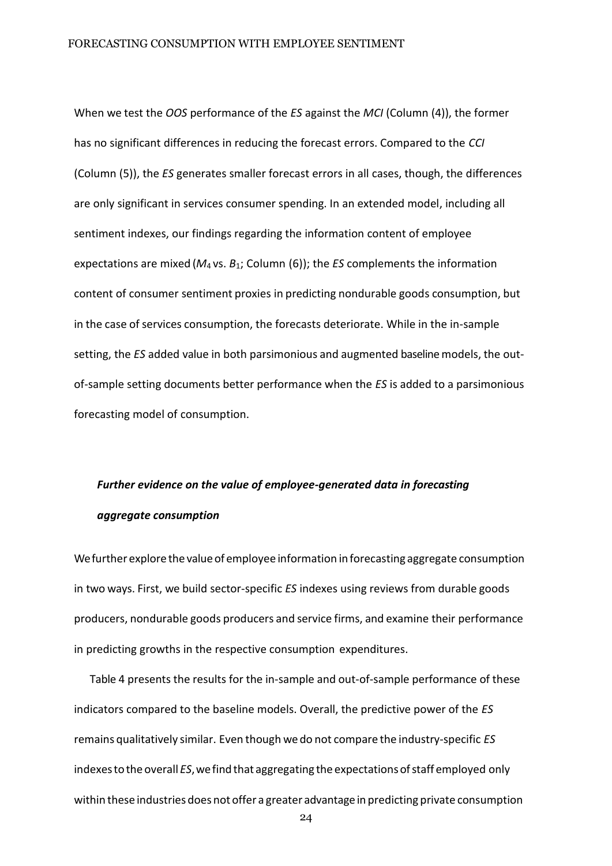When we test the *OOS* performance of the *ES* against the *MCI* (Column (4)), the former has no significant differences in reducing the forecast errors. Compared to the *CCI* (Column (5)), the *ES* generates smaller forecast errors in all cases, though, the differences are only significant in services consumer spending. In an extended model, including all sentiment indexes, our findings regarding the information content of employee expectations are mixed (*M*<sup>4</sup> vs. *B*1; Column (6)); the *ES* complements the information content of consumer sentiment proxies in predicting nondurable goods consumption, but in the case of services consumption, the forecasts deteriorate. While in the in-sample setting, the *ES* added value in both parsimonious and augmented baseline models, the outof-sample setting documents better performance when the *ES* is added to a parsimonious forecasting model of consumption.

# *Further evidence on the value of employee-generated data in forecasting aggregate consumption*

We further explore the value of employee information in forecasting aggregate consumption in two ways. First, we build sector-specific *ES* indexes using reviews from durable goods producers, nondurable goods producers and service firms, and examine their performance in predicting growths in the respective consumption expenditures.

Tabl[e 4](#page-24-0) presents the results for the in-sample and out-of-sample performance of these indicators compared to the baseline models. Overall, the predictive power of the *ES*  remains qualitatively similar. Even though we do not compare the industry-specific *ES*  indexes to the overall *ES*, we find that aggregating the expectations of staff employed only within these industries does not offer a greater advantage in predicting private consumption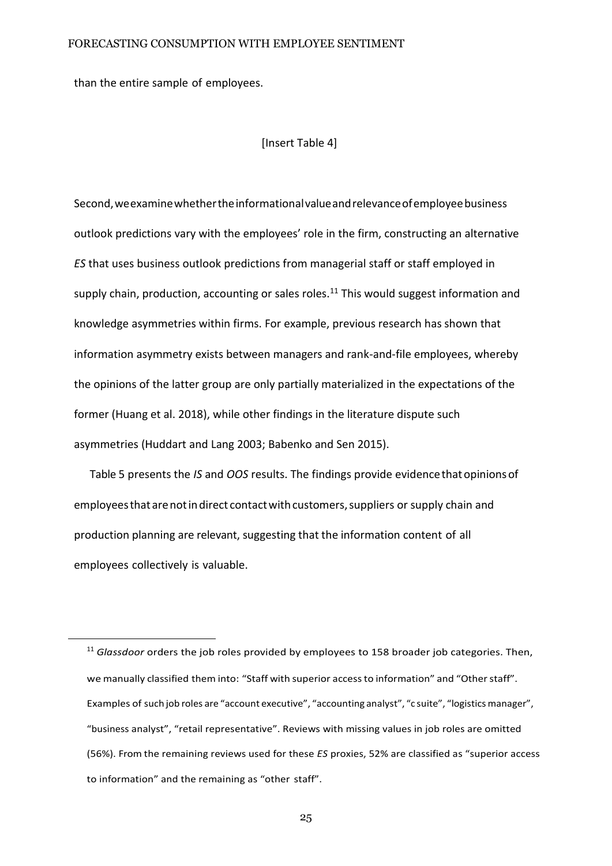than the entire sample of employees.

[Insert Table 4]

<span id="page-24-0"></span>Second, we examine whether the informational value and relevance of employee business outlook predictions vary with the employees' role in the firm, constructing an alternative *ES* that uses business outlook predictions from managerial staff or staff employed in supply chain, production, accounting or sales roles.<sup>11</sup> This would suggest information and knowledge asymmetries within firms. For example, previous research has shown that information asymmetry exists between managers and rank-and-file employees, whereby the opinions of the latter group are only partially materialized in the expectations of the former [\(Huang](#page-37-6) et al. [2018\),](#page-37-6) while other findings in the literature dispute such asymmetries [\(Huddart](#page-37-3) and Lang [2003;](#page-37-3) [Babenko](#page-33-5) and Sen [2015\).](#page-33-5)

Tabl[e 5](#page-46-0) presents the *IS* and *OOS* results. The findings provide evidencethatopinionsof employees that are not in direct contact with customers, suppliers or supply chain and production planning are relevant, suggesting that the information content of all employees collectively is valuable.

<sup>&</sup>lt;sup>11</sup> Glassdoor orders the job roles provided by employees to 158 broader job categories. Then, we manually classified them into: "Staff with superior access to information" and "Other staff". Examples of such job roles are "account executive", "accounting analyst", "c suite", "logisticsmanager", "business analyst", "retail representative". Reviews with missing values in job roles are omitted (56%). From the remaining reviews used for these *ES* proxies, 52% are classified as "superior access to information" and the remaining as "other staff".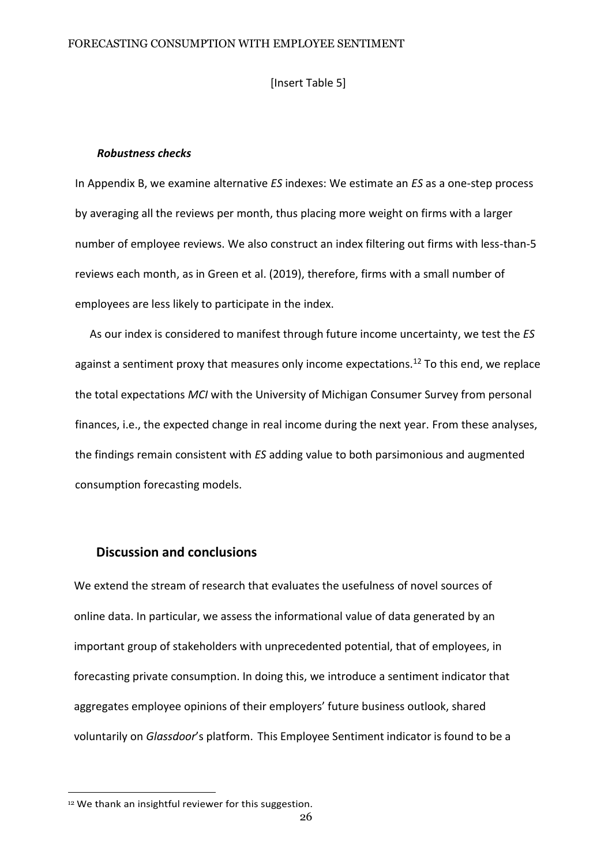[Insert Table 5]

#### *Robustness checks*

In Appendix B, we examine alternative *ES* indexes: We estimate an *ES* as a one-step process by averaging all the reviews per month, thus placing more weight on firms with a larger number of employee reviews. We also construct an index filtering out firms with less-than-5 reviews each month, as in Green et al. (2019), therefore, firms with a small number of employees are less likely to participate in the index.

As our index is considered to manifest through future income uncertainty, we test the *ES* against a sentiment proxy that measures only income expectations.<sup>12</sup> To this end, we replace the total expectations *MCI* with the University of Michigan Consumer Survey from personal finances, i.e., the expected change in real income during the next year. From these analyses, the findings remain consistent with *ES* adding value to both parsimonious and augmented consumption forecasting models.

# **Discussion and conclusions**

We extend the stream of research that evaluates the usefulness of novel sources of online data. In particular, we assess the informational value of data generated by an important group of stakeholders with unprecedented potential, that of employees, in forecasting private consumption. In doing this, we introduce a sentiment indicator that aggregates employee opinions of their employers' future business outlook, shared voluntarily on *Glassdoor*'s platform. This Employee Sentiment indicator is found to be a

<sup>&</sup>lt;sup>12</sup> We thank an insightful reviewer for this suggestion.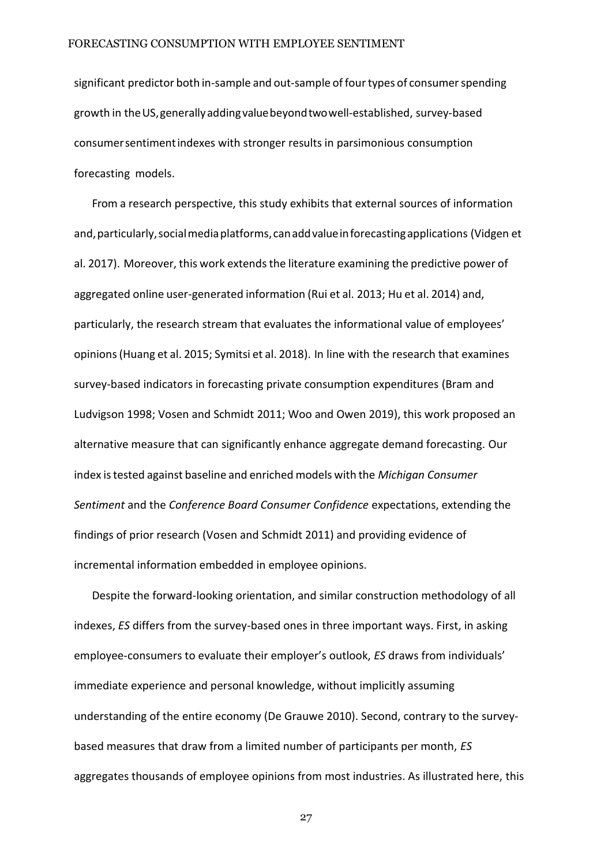significant predictor both in-sample and out-sample of fourtypes of consumerspending growth in theUS,generallyaddingvaluebeyondtwowell-established, survey-based consumersentimentindexes with stronger results in parsimonious consumption forecasting models.

From a research perspective, this study exhibits that external sources of information and,particularly,socialmediaplatforms,canaddvalueinforecastingapplication[s \(Vidgen](#page-41-6) et [al.](#page-41-6) [2017\).](#page-41-6) Moreover, this work extends the literature examining the predictive power of aggregated online user-generated information [\(Rui](#page-37-7) et al. [2013; Hu](#page-37-7) et al. [2014\)](#page-37-7) and, particularly, the research stream that evaluates the informational value of employees' opinions[\(Huang](#page-37-1) et al. [2015;](#page-37-1) [Symitsi](#page-40-1) et al. [2018\).](#page-40-1) In line with the research that examines survey-based indicators in forecasting private consumption expenditures [\(Bram](#page-33-1) and [Ludvigson](#page-33-1) [1998;](#page-33-1) [Vosen and](#page-41-4) Schmidt [2011;](#page-41-4) [Woo and](#page-41-7) Owen [2019\),](#page-41-7) this work proposed an alternative measure that can significantly enhance aggregate demand forecasting. Our index istested against baseline and enriched models with the *Michigan Consumer Sentiment* and the *Conference Board Consumer Confidence* expectations, extending the findings of prior research ([Vosen and Schmidt 2011\) a](#page-41-4)nd providing evidence of incremental information embedded in employee opinions.

Despite the forward-looking orientation, and similar construction methodology of all indexes, *ES* differs from the survey-based ones in three important ways. First, in asking employee-consumers to evaluate their employer's outlook, *ES* draws from individuals' immediate experience and personal knowledge, without implicitly assuming understanding of the entire economy (De [Grauwe](#page-35-3) 2010). Second, contrary to the surveybased measures that draw from a limited number of participants per month, *ES* aggregates thousands of employee opinions from most industries. As illustrated here, this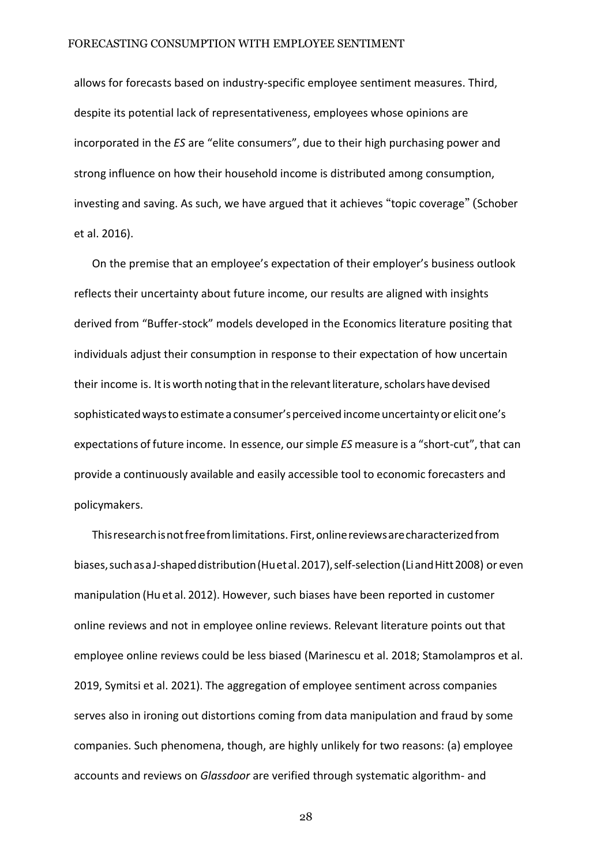allows for forecasts based on industry-specific employee sentiment measures. Third, despite its potential lack of representativeness, employees whose opinions are incorporated in the *ES* are "elite consumers", due to their high purchasing power and strong influence on how their household income is distributed among consumption, investing and saving. As such, we have argued that it achieves "topic coverage" ([Schober](#page-40-2)  [et al.](#page-40-2) [2016\).](#page-40-2)

On the premise that an employee's expectation of their employer's business outlook reflects their uncertainty about future income, our results are aligned with insights derived from "Buffer-stock" models developed in the Economics literature positing that individuals adjust their consumption in response to their expectation of how uncertain their income is. It is worth noting that in the relevant literature, scholars have devised sophisticated ways to estimate a consumer's perceived income uncertainty or elicit one's expectations of future income. In essence, oursimple *ES* measure is a "short-cut", that can provide a continuously available and easily accessible tool to economic forecasters and policymakers.

Thisresearchisnotfreefromlimitations. First,onlinereviewsarecharacterizedfrom biases, such as a J-shaped distribution (Huet al. 2017), self-selection (Liand Hitt 2008) or even manipulation [\(Hu](#page-37-9) et al. [2012\).](#page-37-9) However, such biases have been reported in customer online reviews and not in employee online reviews. Relevant literature points out that employee online reviews could be less biased [\(Marinescu et al. 2](#page-39-2)018; [Stamolampros](#page-40-8) [et al.](#page-40-8)  [2019, Symitsi et al. 2021\).](#page-40-8) The aggregation of employee sentiment across companies serves also in ironing out distortions coming from data manipulation and fraud by some companies. Such phenomena, though, are highly unlikely for two reasons: (a) employee accounts and reviews on *Glassdoor* are verified through systematic algorithm- and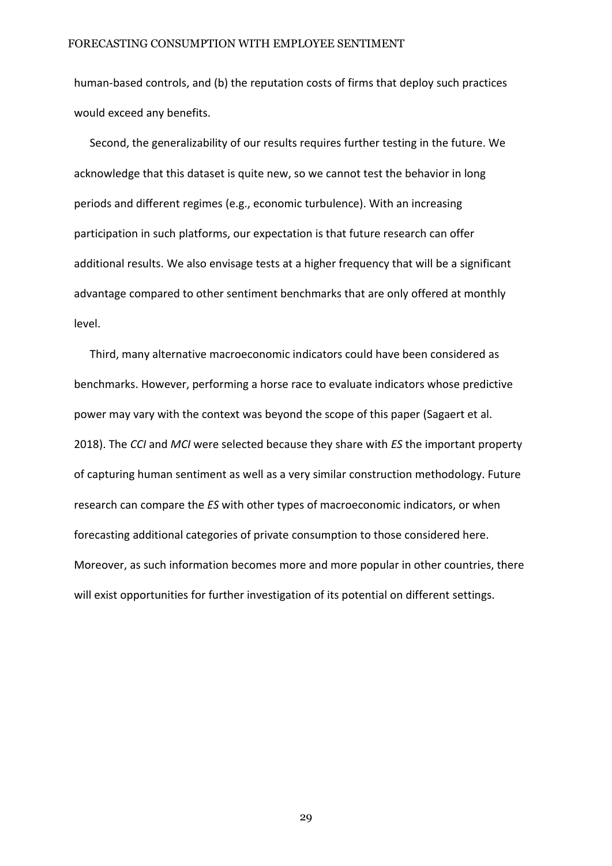human-based controls, and (b) the reputation costs of firms that deploy such practices would exceed any benefits.

Second, the generalizability of our results requires further testing in the future. We acknowledge that this dataset is quite new, so we cannot test the behavior in long periods and different regimes (e.g., economic turbulence). With an increasing participation in such platforms, our expectation is that future research can offer additional results. We also envisage tests at a higher frequency that will be a significant advantage compared to other sentiment benchmarks that are only offered at monthly level.

Third, many alternative macroeconomic indicators could have been considered as benchmarks. However, performing a horse race to evaluate indicators whose predictive power may vary with the context was beyond the scope of this paper [\(Sagaert et al.](#page-39-6) [2018\).](#page-39-6) The *CCI* and *MCI* were selected because they share with *ES* the important property of capturing human sentiment as well as a very similar construction methodology. Future research can compare the *ES* with other types of macroeconomic indicators, or when forecasting additional categories of private consumption to those considered here. Moreover, as such information becomes more and more popular in other countries, there will exist opportunities for further investigation of its potential on different settings.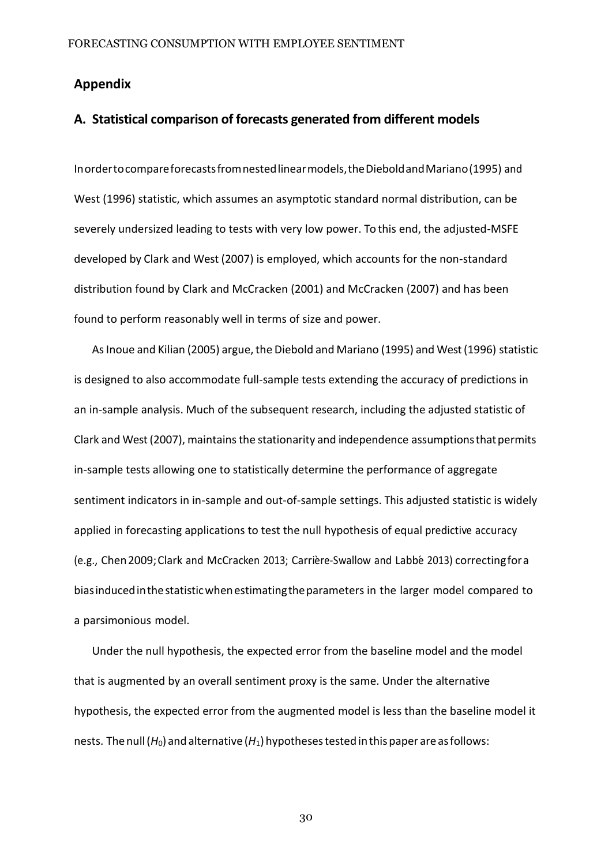# **Appendix**

# **A. Statistical comparison of forecasts generated from different models**

Inordertocompareforecastsfromnestedlinearmodels,theDieboldandMariano(1995) and West (1996) statistic, which assumes an asymptotic standard normal distribution, can be severely undersized leading to tests with very low power. To this end, the adjusted-MSFE developed by [Clark and West](#page-20-0) [\(2007\)](#page-20-0) is employed, which accounts for the non-standard distribution found by Clark and [McCracken](#page-19-0) [\(2001\)](#page-19-0) and [McCracken](#page-33-7) [\(2007\)](#page-33-7) and has been found to perform reasonably well in terms of size and power.

As Inoue and Kilian [\(2005\)](#page-46-0) argue, the Diebold and [Mariano](#page-22-0) [\(1995\)](#page-22-0) and West (1996) statistic is designed to also accommodate full-sample tests extending the accuracy of predictions in an in-sample analysis. Much of the subsequent research, including the adjusted statistic of Clark and West (2007), maintains the stationarity and independence assumptions that permits in-sample tests allowing one to statistically determine the performance of aggregate sentiment indicators in in-sample and out-of-sample settings. This adjusted statistic is widely applied in forecasting applications to test the null hypothesis of equal predictive accuracy (e.g., Chen 2009; Clark and McCracken 2013; Carrière-Swallow and Labbé [2013\)](#page-0-0) correcting for a biasinducedinthestatisticwhenestimatingtheparameters in the larger model compared to a parsimonious model.

Under the null hypothesis, the expected error from the baseline model and the model that is augmented by an overall sentiment proxy is the same. Under the alternative hypothesis, the expected error from the augmented model is less than the baseline model it nests. The null (*H*<sub>0</sub>) and alternative (*H*<sub>1</sub>) hypotheses tested in this paper are as follows: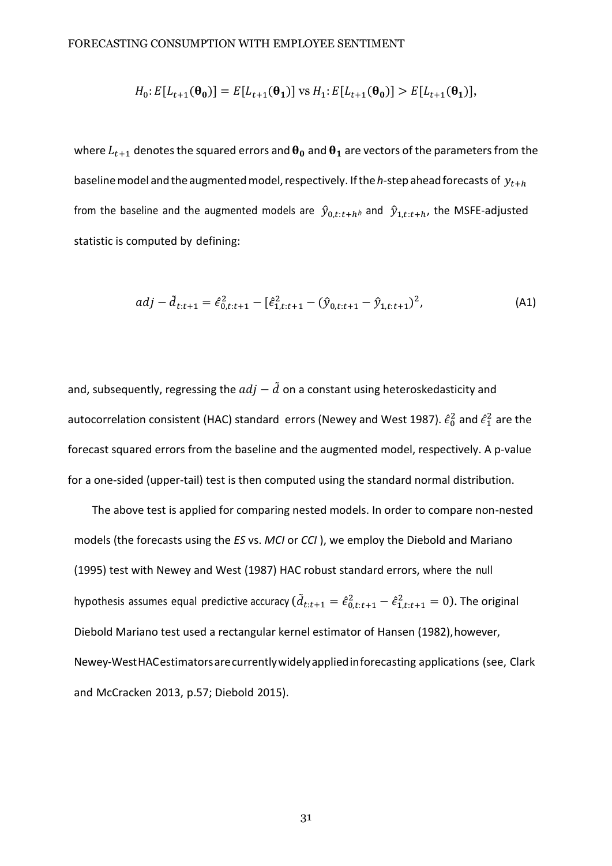$$
H_0: E[L_{t+1}(\theta_0)] = E[L_{t+1}(\theta_1)] \text{ vs } H_1: E[L_{t+1}(\theta_0)] > E[L_{t+1}(\theta_1)],
$$

where  $L_{t+1}$  denotes the squared errors and  $\theta_0$  and  $\theta_1$  are vectors of the parameters from the baseline model and the augmented model, respectively. If the *h*-step ahead forecasts of  $y_{t+h}$ from the baseline and the augmented models are  $\hat{y}_{0,t:t+h}$  and  $\hat{y}_{1,t:t+h}$ , the MSFE-adjusted statistic is computed by defining:

$$
adj - \tilde{d}_{t:t+1} = \hat{\epsilon}_{0,t:t+1}^2 - [\hat{\epsilon}_{1,t:t+1}^2 - (\hat{y}_{0,t:t+1} - \hat{y}_{1,t:t+1})^2,
$$
\n(A1)

and, subsequently, regressing the  $adj - d$  on a constant using heteroskedasticity and autocorrelation consistent (HAC) standard errors [\(Newey and](#page-33-9) West [1987\).](#page-33-9)  $\hat{\epsilon}_0^2$  and  $\hat{\epsilon}_1^2$  are the forecast squared errors from the baseline and the augmented model, respectively. A p-value for a one-sided (upper-tail) test is then computed using the standard normal distribution.

The above test is applied for comparing nested models. In order to compare non-nested models (the forecasts using the *ES* vs. *MCI* or *CCI* ), we employ the Diebold and Mariano (1995) test with [Newey and West](#page-33-9) [\(1987\)](#page-33-9) HAC robust standard errors, where the null hypothesis assumes equal predictive accuracy ( $\tilde{d}_{t:t+1} = \hat{\epsilon}_{0,t:t+1}^2 - \hat{\epsilon}_{1,t:t+1}^2 = 0$ ). The original Diebold Mariano test used a rectangular kernel estimator of [Hansen](#page-24-0) (1982), however, Newey-WestHACestimatorsarecurrentlywidelyappliedinforecasting applications (see, Clark and McCracken 2013, p.57; Diebold 2015).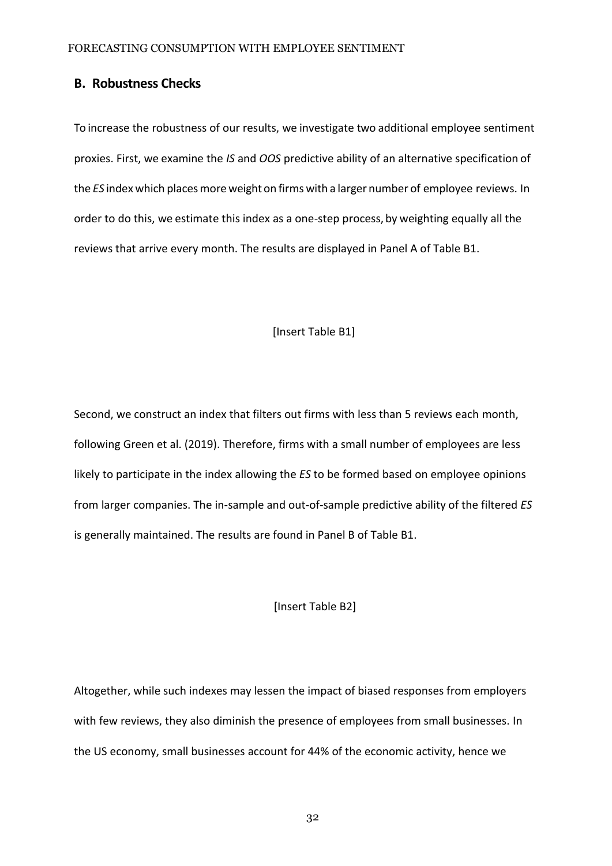# **B. Robustness Checks**

To increase the robustness of our results, we investigate two additional employee sentiment proxies. First, we examine the *IS* and *OOS* predictive ability of an alternative specification of the *ES* index which places more weight on firms with a larger number of employee reviews. In order to do this, we estimate this index as a one-step process, by weighting equally all the reviews that arrive every month. The results are displayed in Panel A of Table B1.

# [Insert Table B1]

Second, we construct an index that filters out firms with less than 5 reviews each month[,](#page-0-0) following [Green et al. \(2019\). T](#page-0-0)herefore, firms with a small number of employees are less likely to participate in the index allowing the *ES* to be formed based on employee opinions from larger companies. The in-sample and out-of-sample predictive ability of the filtered *ES* is generally maintained. The results are found in Panel B of Table B1.

#### [Insert Table B2]

Altogether, while such indexes may lessen the impact of biased responses from employers with few reviews, they also diminish the presence of employees from small businesses. In the US economy, small businesses account for 44% of the economic activity, hence we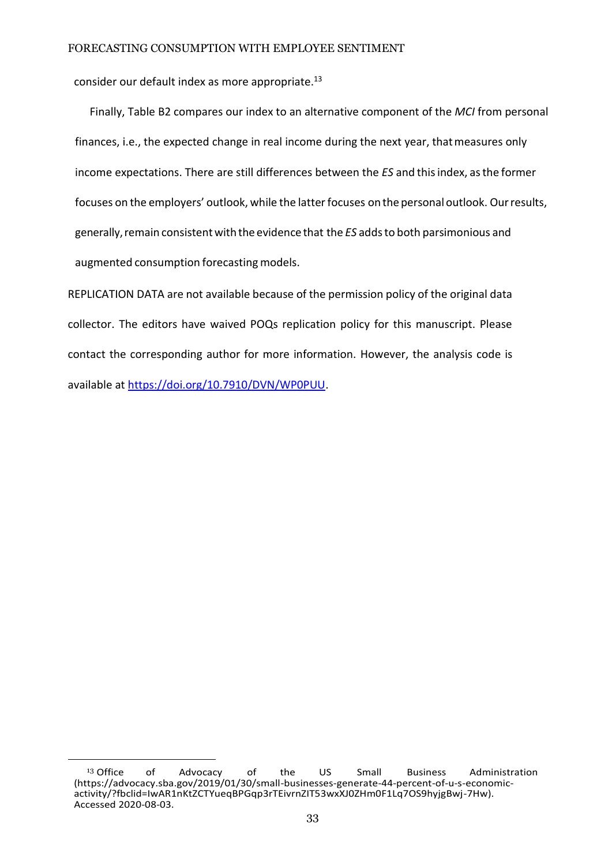consider our default index as more appropriate.<sup>13</sup>

Finally, Table B2 compares our index to an alternative component of the *MCI* from personal finances, i.e., the expected change in real income during the next year, thatmeasures only income expectations. There are still differences between the *ES* and thisindex, asthe former focuses on the employers' outlook, while the latter focuses on the personal outlook. Our results, generally, remain consistent with the evidence that the *ES* adds to both parsimonious and augmented consumption forecasting models.

REPLICATION DATA are not available because of the permission policy of the original data collector. The editors have waived POQs replication policy for this manuscript. Please contact the corresponding author for more information. However, the analysis code is available at [https://doi.org/10.7910/DVN/WP0PUU.](https://doi.org/10.7910/DVN/WP0PUU)

<sup>&</sup>lt;sup>13</sup> Office of Advocacy of the US Small Business Administration (https://advocacy.sba.gov/2019/01/30/small-businesses-generate-44-percent-of-u-s-economicactivity/?fbclid=IwAR1nKtZCTYueqBPGqp3rTEivrnZIT53wxXJ0ZHm0F1Lq7OS9hyjgBwj-7Hw). Accessed 2020-08-03.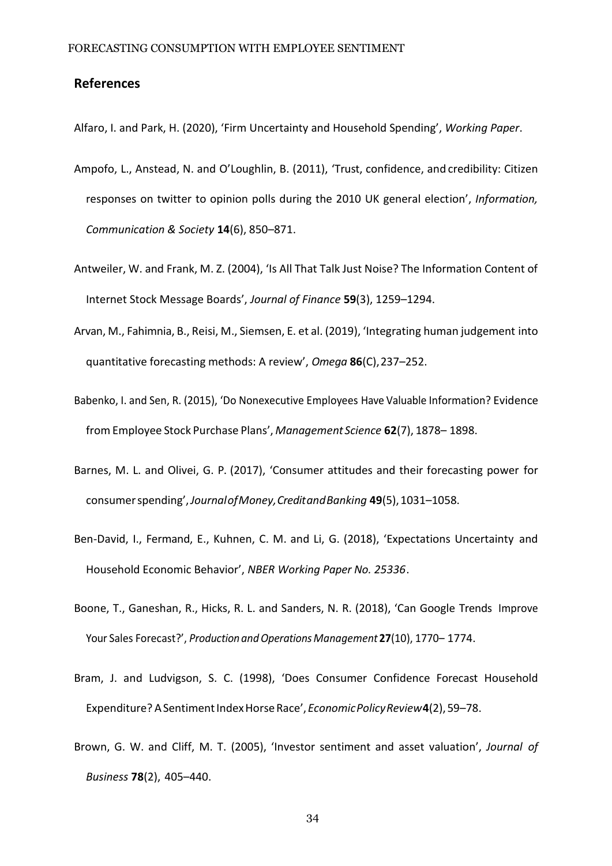# **References**

<span id="page-33-7"></span>Alfaro, I. and Park, H. (2020), 'Firm Uncertainty and Household Spending', *Working Paper*.

- <span id="page-33-9"></span>Ampofo, L., Anstead, N. and O'Loughlin, B. (2011), 'Trust, confidence, and credibility: Citizen responses on twitter to opinion polls during the 2010 UK general election', *Information, Communication & Society* **14**(6), 850–871.
- <span id="page-33-3"></span>Antweiler, W. and Frank, M. Z. (2004), 'Is All That Talk Just Noise? The Information Content of Internet Stock Message Boards', *Journal of Finance* **59**(3), 1259–1294.
- <span id="page-33-2"></span>Arvan, M., Fahimnia, B., Reisi, M., Siemsen, E. et al. (2019), 'Integrating human judgement into quantitative forecasting methods: A review', *Omega* **86**(C),237–252.
- <span id="page-33-5"></span>Babenko, I. and Sen, R. (2015), 'Do Nonexecutive Employees Have Valuable Information? Evidence from Employee Stock Purchase Plans', *Management Science* **62**(7), 1878– 1898.
- <span id="page-33-0"></span>Barnes, M. L. and Olivei, G. P. (2017), 'Consumer attitudes and their forecasting power for consumerspending',*JournalofMoney,CreditandBanking* **49**(5),1031–1058.
- <span id="page-33-6"></span>Ben-David, I., Fermand, E., Kuhnen, C. M. and Li, G. (2018), 'Expectations Uncertainty and Household Economic Behavior', *NBER Working Paper No. 25336*.
- <span id="page-33-4"></span>Boone, T., Ganeshan, R., Hicks, R. L. and Sanders, N. R. (2018), 'Can Google Trends Improve Your Sales Forecast?', *Production andOperationsManagement* **27**(10), 1770– 1774.
- <span id="page-33-1"></span>Bram, J. and Ludvigson, S. C. (1998), 'Does Consumer Confidence Forecast Household Expenditure? A Sentiment Index Horse Race', *Economic Policy Review* 4(2), 59–78.
- <span id="page-33-8"></span>Brown, G. W. and Cliff, M. T. (2005), 'Investor sentiment and asset valuation', *Journal of Business* **78**(2), 405–440.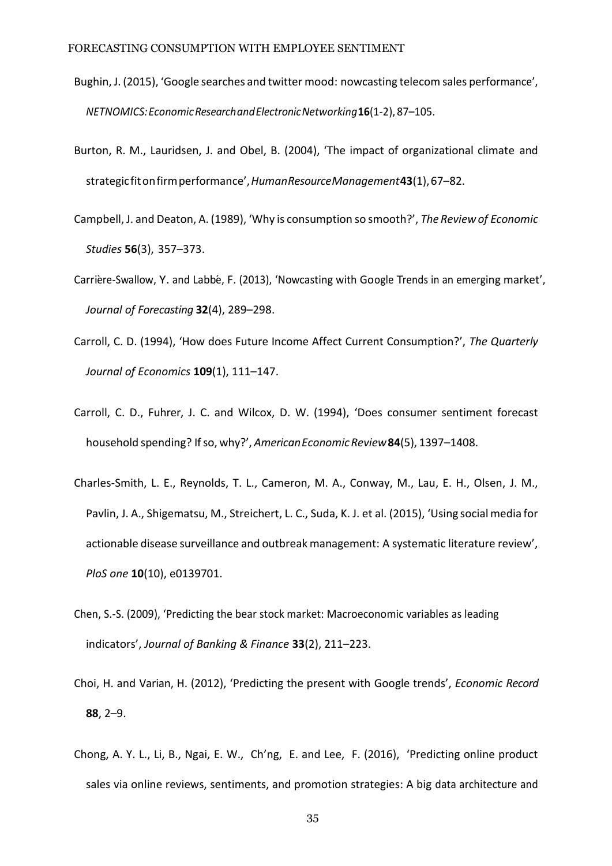- <span id="page-34-3"></span>Bughin, J. (2015), 'Google searches and twitter mood: nowcasting telecom sales performance', *NETNOMICS:EconomicResearchandElectronicNetworking***16**(1-2), 87–105.
- <span id="page-34-5"></span>Burton, R. M., Lauridsen, J. and Obel, B. (2004), 'The impact of organizational climate and strategicfitonfirmperformance',*HumanResourceManagement***43**(1),67–82.
- <span id="page-34-6"></span>Campbell, J. and Deaton, A. (1989), 'Why is consumption so smooth?', *The Review of Economic Studies* **56**(3), 357–373.
- Carrière-Swallow, Y. and Labbé, F. (2013), 'Nowcasting with Google Trends in an emerging market', *Journal of Forecasting* **32**(4), 289–298.
- <span id="page-34-7"></span>Carroll, C. D. (1994), 'How does Future Income Affect Current Consumption?', *The Quarterly Journal of Economics* **109**(1), 111–147.
- <span id="page-34-0"></span>Carroll, C. D., Fuhrer, J. C. and Wilcox, D. W. (1994), 'Does consumer sentiment forecast household spending? Ifso, why?', *AmericanEconomicReview***84**(5), 1397–1408.
- <span id="page-34-2"></span>Charles-Smith, L. E., Reynolds, T. L., Cameron, M. A., Conway, M., Lau, E. H., Olsen, J. M., Pavlin, J. A., Shigematsu, M., Streichert, L. C., Suda, K. J. et al. (2015), 'Using social media for actionable disease surveillance and outbreak management: A systematic literature review', *PloS one* **10**(10), e0139701.
- Chen, S.-S. (2009), 'Predicting the bear stock market: Macroeconomic variables as leading indicators', *Journal of Banking & Finance* **33**(2), 211–223.
- <span id="page-34-4"></span>Choi, H. and Varian, H. (2012), 'Predicting the present with Google trends', *Economic Record*  **88**, 2–9.
- <span id="page-34-1"></span>Chong, A. Y. L., Li, B., Ngai, E. W., Ch'ng, E. and Lee, F. (2016), 'Predicting online product sales via online reviews, sentiments, and promotion strategies: A big data architecture and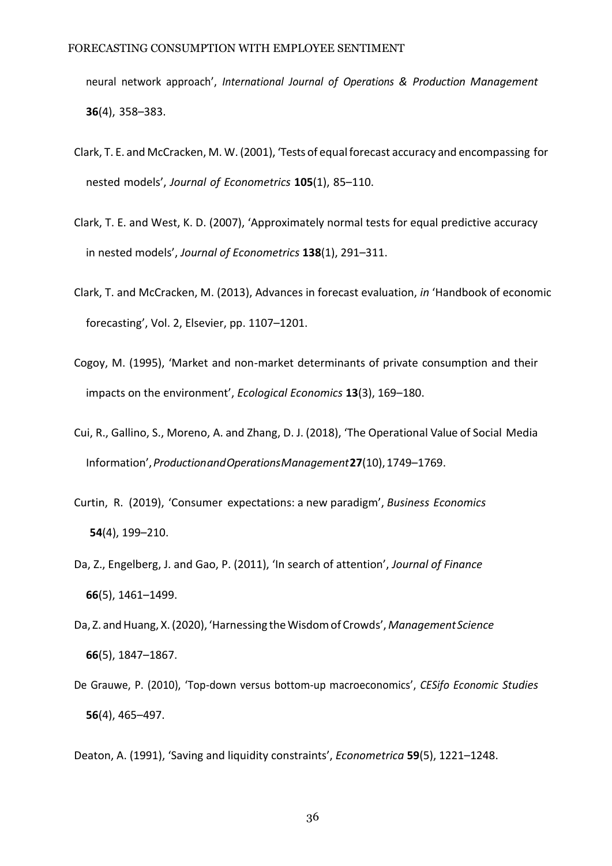neural network approach', *International Journal of Operations & Production Management*  **36**(4), 358–383.

- Clark, T. E. and McCracken, M. W. (2001), 'Tests of equal forecast accuracy and encompassing for nested models', *Journal of Econometrics* **105**(1), 85–110.
- <span id="page-35-7"></span>Clark, T. E. and West, K. D. (2007), 'Approximately normal tests for equal predictive accuracy in nested models', *Journal of Econometrics* **138**(1), 291–311.
- Clark, T. and McCracken, M. (2013), Advances in forecast evaluation, *in* 'Handbook of economic forecasting', Vol. 2, Elsevier, pp. 1107–1201.
- <span id="page-35-0"></span>Cogoy, M. (1995), 'Market and non-market determinants of private consumption and their impacts on the environment', *Ecological Economics* **13**(3), 169–180.
- <span id="page-35-2"></span>Cui, R., Gallino, S., Moreno, A. and Zhang, D. J. (2018), 'The Operational Value of Social Media Information',*ProductionandOperationsManagement***27**(10),1749–1769.
- <span id="page-35-4"></span>Curtin, R. (2019), 'Consumer expectations: a new paradigm', *Business Economics* **54**(4), 199–210.
- <span id="page-35-5"></span>Da, Z., Engelberg, J. and Gao, P. (2011), 'In search of attention', *Journal of Finance* **66**(5), 1461–1499.
- <span id="page-35-1"></span>Da, Z. and Huang, X. (2020), 'Harnessing the Wisdom of Crowds', Management Science **66**(5), 1847–1867.
- <span id="page-35-3"></span>De Grauwe, P. (2010), 'Top-down versus bottom-up macroeconomics', *CESifo Economic Studies*  **56**(4), 465–497.

<span id="page-35-6"></span>Deaton, A. (1991), 'Saving and liquidity constraints', *Econometrica* **59**(5), 1221–1248.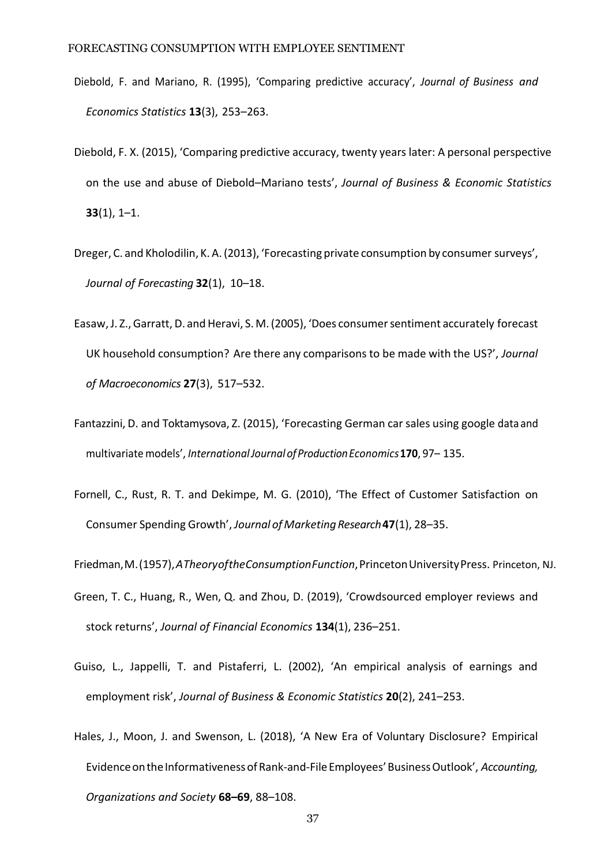- Diebold, F. and Mariano, R. (1995), 'Comparing predictive accuracy', *Journal of Business and Economics Statistics* **13**(3), 253–263.
- Diebold, F. X. (2015), 'Comparing predictive accuracy, twenty years later: A personal perspective on the use and abuse of Diebold–Mariano tests', *Journal of Business & Economic Statistics*  **33**(1), 1–1.
- <span id="page-36-2"></span>Dreger, C. and Kholodilin, K. A.(2013), 'Forecasting private consumption by consumer surveys', *Journal of Forecasting* **32**(1), 10–18.
- <span id="page-36-1"></span>Easaw, J. Z., Garratt, D. and Heravi, S. M. (2005), 'Does consumer sentiment accurately forecast UK household consumption? Are there any comparisons to be made with the US?', *Journal of Macroeconomics* **27**(3), 517–532.
- <span id="page-36-5"></span>Fantazzini, D. and Toktamysova, Z. (2015), 'Forecasting German car sales using google data and multivariatemodels', *InternationalJournalofProductionEconomics***170**, 97– 135.
- <span id="page-36-0"></span>Fornell, C., Rust, R. T. and Dekimpe, M. G. (2010), 'The Effect of Customer Satisfaction on Consumer Spending Growth', *Journal of MarketingResearch***47**(1), 28–35.
- <span id="page-36-4"></span>Friedman,M.(1957),*ATheoryoftheConsumptionFunction*,PrincetonUniversityPress. Princeton, NJ.
- Green, T. C., Huang, R., Wen, Q. and Zhou, D. (2019), 'Crowdsourced employer reviews and stock returns', *Journal of Financial Economics* **134**(1), 236–251.
- <span id="page-36-6"></span>Guiso, L., Jappelli, T. and Pistaferri, L. (2002), 'An empirical analysis of earnings and employment risk', *Journal of Business & Economic Statistics* **20**(2), 241–253.
- <span id="page-36-3"></span>Hales, J., Moon, J. and Swenson, L. (2018), 'A New Era of Voluntary Disclosure? Empirical EvidenceontheInformativenessofRank-and-FileEmployees'BusinessOutlook', *Accounting, Organizations and Society* **68–69**, 88–108.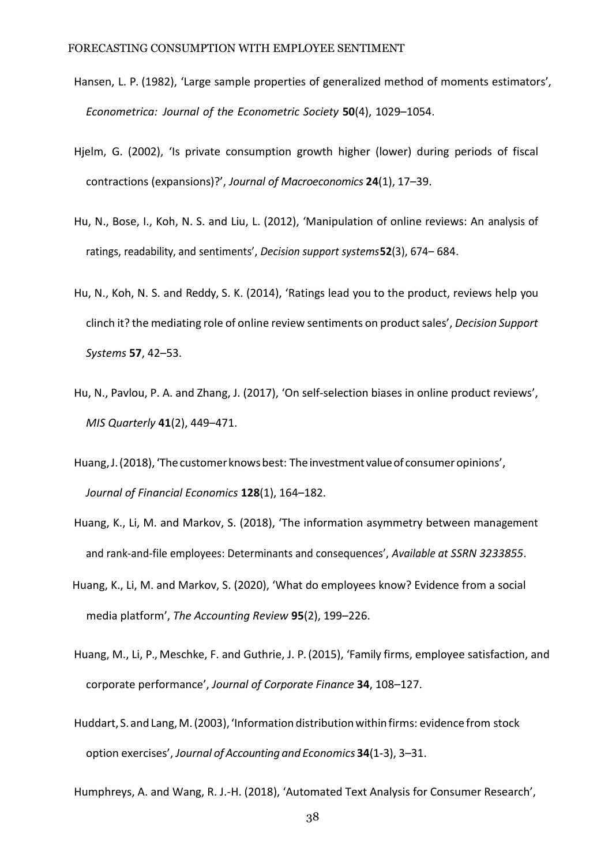- Hansen, L. P. (1982), 'Large sample properties of generalized method of moments estimators', *Econometrica: Journal of the Econometric Society* **50**(4), 1029–1054.
- <span id="page-37-0"></span>Hjelm, G. (2002), 'Is private consumption growth higher (lower) during periods of fiscal contractions (expansions)?', *Journal of Macroeconomics* **24**(1), 17–39.
- <span id="page-37-9"></span>Hu, N., Bose, I., Koh, N. S. and Liu, L. (2012), 'Manipulation of online reviews: An analysis of ratings, readability, and sentiments', *Decision support systems***52**(3), 674– 684.
- <span id="page-37-7"></span>Hu, N., Koh, N. S. and Reddy, S. K. (2014), 'Ratings lead you to the product, reviews help you clinch it? the mediating role of online review sentiments on product sales', *Decision Support Systems* **57**, 42–53.
- <span id="page-37-8"></span>Hu, N., Pavlou, P. A. and Zhang, J. (2017), 'On self-selection biases in online product reviews', *MIS Quarterly* **41**(2), 449–471.
- <span id="page-37-4"></span>Huang, J. (2018), 'The customer knows best: The investment value of consumer opinions', *Journal of Financial Economics* **128**(1), 164–182.
- <span id="page-37-6"></span>Huang, K., Li, M. and Markov, S. (2018), 'The information asymmetry between management and rank-and-file employees: Determinants and consequences', *Available at SSRN 3233855*.
- <span id="page-37-2"></span>Huang, K., Li, M. and Markov, S. (2020), 'What do employees know? Evidence from a social media platform', *The Accounting Review* **95**(2), 199–226.
- <span id="page-37-1"></span>Huang, M., Li, P., Meschke, F. and Guthrie, J. P. (2015), 'Family firms, employee satisfaction, and corporate performance', *Journal of Corporate Finance* **34**, 108–127.
- <span id="page-37-3"></span>Huddart, S.and Lang,M.(2003), 'Information distributionwithinfirms: evidence from stock option exercises', *Journal of Accounting and Economics* **34**(1-3), 3–31.

<span id="page-37-5"></span>Humphreys, A. and Wang, R. J.-H. (2018), 'Automated Text Analysis for Consumer Research',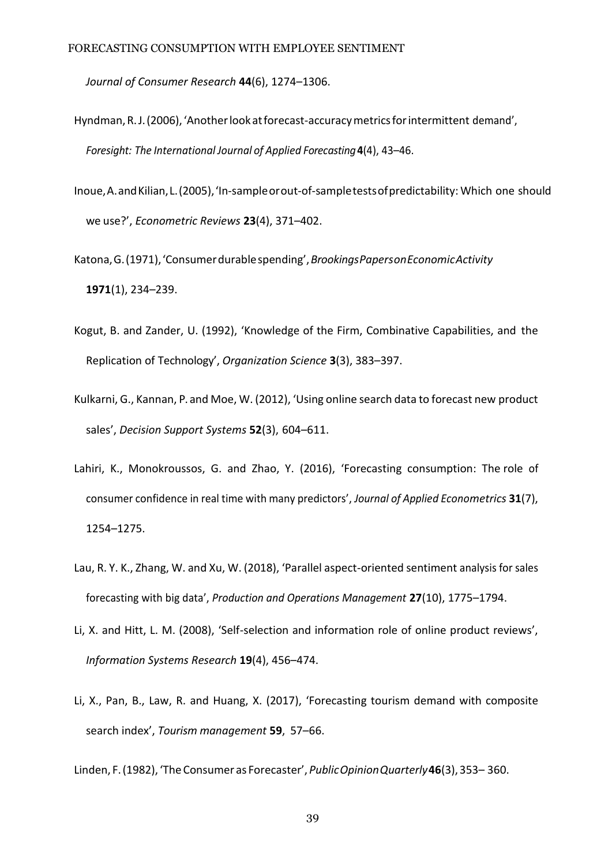*Journal of Consumer Research* **44**(6), 1274–1306.

- <span id="page-38-6"></span>Hyndman, R.J. (2006), 'Another look at forecast-accuracy metrics for intermittent demand', *Foresight: The International Journal of Applied Forecasting***4**(4), 43–46.
- Inoue,A.andKilian,L.(2005),'In-sampleorout-of-sampletestsofpredictability: Which one should we use?', *Econometric Reviews* **23**(4), 371–402.
- <span id="page-38-0"></span>Katona,G.(1971),'Consumerdurablespending',*BrookingsPapersonEconomicActivity* **1971**(1), 234–239.
- Kogut, B. and Zander, U. (1992), 'Knowledge of the Firm, Combinative Capabilities, and the Replication of Technology', *Organization Science* **3**(3), 383–397.
- <span id="page-38-4"></span>Kulkarni, G., Kannan, P. and Moe, W. (2012), 'Using online search data to forecast new product sales', *Decision Support Systems* **52**(3), 604–611.
- <span id="page-38-1"></span>Lahiri, K., Monokroussos, G. and Zhao, Y. (2016), 'Forecasting consumption: The role of consumer confidence in real time with many predictors', *Journal of Applied Econometrics* **31**(7), 1254–1275.
- <span id="page-38-2"></span>Lau, R. Y. K., Zhang, W. and Xu, W. (2018), 'Parallel aspect-oriented sentiment analysis for sales forecasting with big data', *Production and Operations Management* **27**(10), 1775–1794.
- <span id="page-38-7"></span>Li, X. and Hitt, L. M. (2008), 'Self-selection and information role of online product reviews', *Information Systems Research* **19**(4), 456–474.
- <span id="page-38-3"></span>Li, X., Pan, B., Law, R. and Huang, X. (2017), 'Forecasting tourism demand with composite search index', *Tourism management* **59**, 57–66.

<span id="page-38-5"></span>Linden, F.(1982), 'The Consumer as Forecaster', *PublicOpinionQuarterly***46**(3), 353– 360.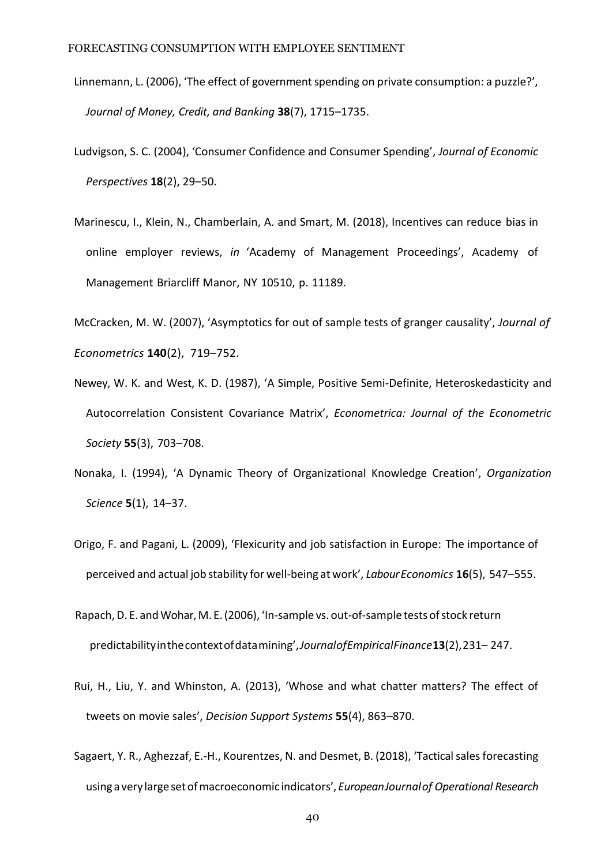- <span id="page-39-0"></span>Linnemann, L. (2006), 'The effect of government spending on private consumption: a puzzle?', *Journal of Money, Credit, and Banking* **38**(7), 1715–1735.
- <span id="page-39-1"></span>Ludvigson, S. C. (2004), 'Consumer Confidence and Consumer Spending', *Journal of Economic Perspectives* **18**(2), 29–50.
- <span id="page-39-3"></span>Marinescu, I., Klein, N., Chamberlain, A. and Smart, M. (2018), Incentives can reduce bias in online employer reviews, *in* 'Academy of Management Proceedings', Academy of Management Briarcliff Manor, NY 10510, p. 11189.

McCracken, M. W. (2007), 'Asymptotics for out of sample tests of granger causality', *Journal of Econometrics* **140**(2), 719–752.

- Newey, W. K. and West, K. D. (1987), 'A Simple, Positive Semi-Definite, Heteroskedasticity and Autocorrelation Consistent Covariance Matrix', *Econometrica: Journal of the Econometric Society* **55**(3), 703–708.
- <span id="page-39-2"></span>Nonaka, I. (1994), 'A Dynamic Theory of Organizational Knowledge Creation', *Organization Science* **5**(1), 14–37.
- <span id="page-39-4"></span>Origo, F. and Pagani, L. (2009), 'Flexicurity and job satisfaction in Europe: The importance of perceived and actual job stability for well-being at work', *LabourEconomics* **16**(5), 547–555.
- <span id="page-39-5"></span>Rapach, D. E. and Wohar, M. E. (2006), 'In-sample vs. out-of-sample tests of stock return predictabilityinthecontextofdatamining',*JournalofEmpiricalFinance***13**(2),231– 247.
- Rui, H., Liu, Y. and Whinston, A. (2013), 'Whose and what chatter matters? The effect of tweets on movie sales', *Decision Support Systems* **55**(4), 863–870.
- <span id="page-39-6"></span>Sagaert, Y. R., Aghezzaf, E.-H., Kourentzes, N. and Desmet, B. (2018), 'Tactical sales forecasting using a very largesetofmacroeconomic indicators', *EuropeanJournalof Operational Research*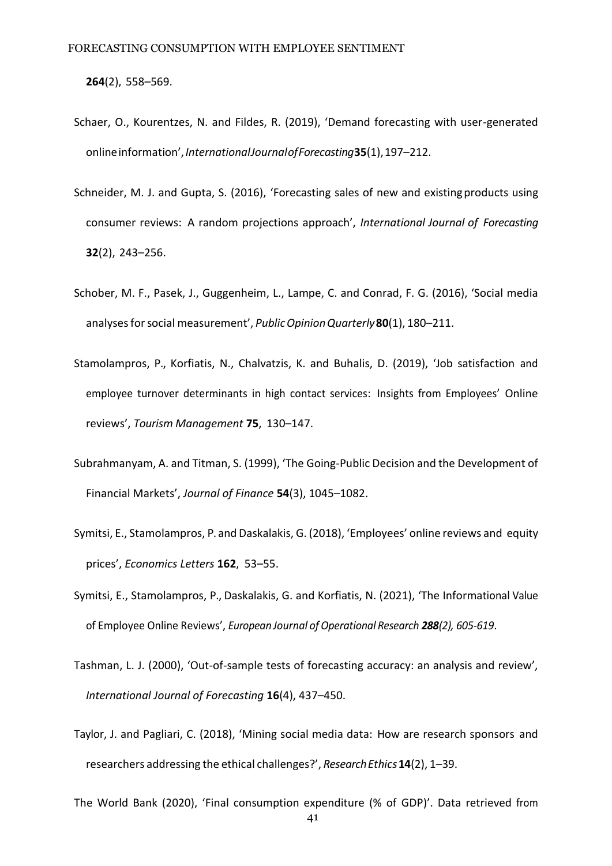**264**(2), 558–569.

- <span id="page-40-3"></span>Schaer, O., Kourentzes, N. and Fildes, R. (2019), 'Demand forecasting with user-generated onlineinformation',*InternationalJournalofForecasting***35**(1),197–212.
- <span id="page-40-4"></span>Schneider, M. J. and Gupta, S. (2016), 'Forecasting sales of new and existingproducts using consumer reviews: A random projections approach', *International Journal of Forecasting*  **32**(2), 243–256.
- <span id="page-40-2"></span>Schober, M. F., Pasek, J., Guggenheim, L., Lampe, C. and Conrad, F. G. (2016), 'Social media analysesforsocial measurement', *PublicOpinionQuarterly***80**(1), 180–211.
- <span id="page-40-8"></span>Stamolampros, P., Korfiatis, N., Chalvatzis, K. and Buhalis, D. (2019), 'Job satisfaction and employee turnover determinants in high contact services: Insights from Employees' Online reviews', *Tourism Management* **75**, 130–147.
- Subrahmanyam, A. and Titman, S. (1999), 'The Going-Public Decision and the Development of Financial Markets', *Journal of Finance* **54**(3), 1045–1082.
- <span id="page-40-1"></span>Symitsi, E., Stamolampros, P. and Daskalakis, G. (2018), 'Employees' online reviews and equity prices', *Economics Letters* **162**, 53–55.
- <span id="page-40-5"></span>Symitsi, E., Stamolampros, P., Daskalakis, G. and Korfiatis, N. (2021), 'The Informational Value of Employee Online Reviews', *European Journal ofOperational Research 288(2), 605-619*.
- <span id="page-40-7"></span>Tashman, L. J. (2000), 'Out-of-sample tests of forecasting accuracy: an analysis and review', *International Journal of Forecasting* **16**(4), 437–450.
- <span id="page-40-6"></span>Taylor, J. and Pagliari, C. (2018), 'Mining social media data: How are research sponsors and researchers addressing the ethical challenges?', *ResearchEthics***14**(2), 1–39.
- <span id="page-40-0"></span>The World Bank (2020), 'Final consumption expenditure (% of GDP)'. Data retrieved from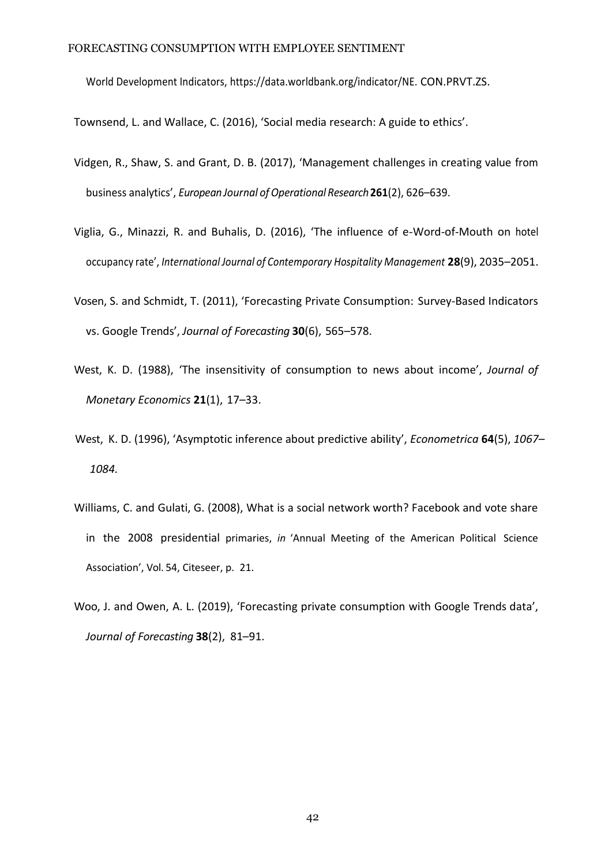World Development Indicators, [https://data.worldbank.org/indicator/NE.](https://data.worldbank.org/indicator/NE.CON.PRVT.ZS) [CON.PRVT.ZS.](https://data.worldbank.org/indicator/NE.CON.PRVT.ZS)

<span id="page-41-3"></span>Townsend, L. and Wallace, C. (2016), 'Social media research: A guide to ethics'.

- <span id="page-41-6"></span>Vidgen, R., Shaw, S. and Grant, D. B. (2017), 'Management challenges in creating value from business analytics', *European Journal ofOperational Research***261**(2), 626–639.
- <span id="page-41-1"></span>Viglia, G., Minazzi, R. and Buhalis, D. (2016), 'The influence of e-Word-of-Mouth on hotel occupancy rate', *International Journal of Contemporary Hospitality Management* **28**(9), 2035–2051.
- <span id="page-41-4"></span>Vosen, S. and Schmidt, T. (2011), 'Forecasting Private Consumption: Survey-Based Indicators vs. Google Trends', *Journal of Forecasting* **30**(6), 565–578.
- <span id="page-41-2"></span>West, K. D. (1988), 'The insensitivity of consumption to news about income', *Journal of Monetary Economics* **21**(1), 17–33.
- <span id="page-41-5"></span>West, K. D. (1996), 'Asymptotic inference about predictive ability', *Econometrica* **64**(5), *1067– 1084.*
- <span id="page-41-0"></span>Williams, C. and Gulati, G. (2008), What is a social network worth? Facebook and vote share in the 2008 presidential primaries, *in* 'Annual Meeting of the American Political Science Association', Vol. 54, Citeseer, p. 21.
- <span id="page-41-7"></span>Woo, J. and Owen, A. L. (2019), 'Forecasting private consumption with Google Trends data', *Journal of Forecasting* **38**(2), 81–91.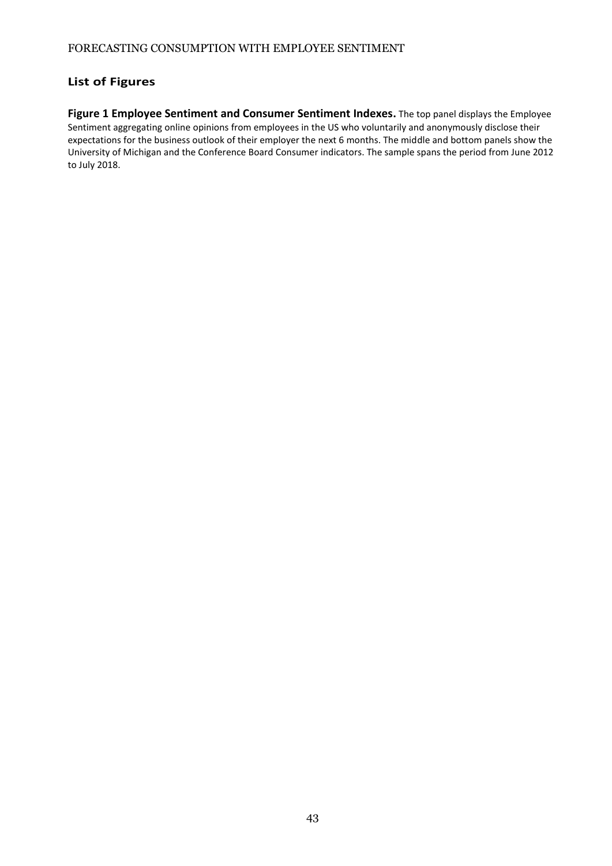# **List of Figures**

**Figure 1 Employee Sentiment and Consumer Sentiment Indexes.** The top panel displays the Employee Sentiment aggregating online opinions from employees in the US who voluntarily and anonymously disclose their expectations for the business outlook of their employer the next 6 months. The middle and bottom panels show the University of Michigan and the Conference Board Consumer indicators. The sample spans the period from June 2012 to July 2018.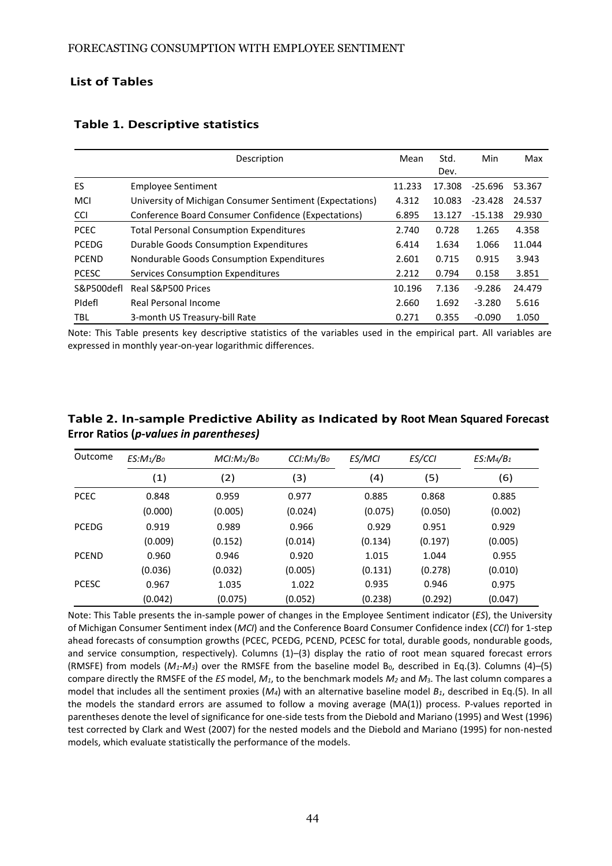# **List of Tables**

|              | Description                                              | Mean   | Std.   | Min       | Max    |
|--------------|----------------------------------------------------------|--------|--------|-----------|--------|
|              |                                                          |        | Dev.   |           |        |
| ES           | <b>Employee Sentiment</b>                                | 11.233 | 17.308 | $-25.696$ | 53.367 |
| <b>MCI</b>   | University of Michigan Consumer Sentiment (Expectations) | 4.312  | 10.083 | $-23.428$ | 24.537 |
| <b>CCI</b>   | Conference Board Consumer Confidence (Expectations)      | 6.895  | 13.127 | $-15.138$ | 29.930 |
| <b>PCEC</b>  | <b>Total Personal Consumption Expenditures</b>           | 2.740  | 0.728  | 1.265     | 4.358  |
| <b>PCEDG</b> | Durable Goods Consumption Expenditures                   | 6.414  | 1.634  | 1.066     | 11.044 |
| <b>PCEND</b> | Nondurable Goods Consumption Expenditures                | 2.601  | 0.715  | 0.915     | 3.943  |
| <b>PCESC</b> | Services Consumption Expenditures                        | 2.212  | 0.794  | 0.158     | 3.851  |
| S&P500defl   | Real S&P500 Prices                                       | 10.196 | 7.136  | $-9.286$  | 24.479 |
| Pidefl       | <b>Real Personal Income</b>                              | 2.660  | 1.692  | $-3.280$  | 5.616  |
| <b>TBL</b>   | 3-month US Treasury-bill Rate                            | 0.271  | 0.355  | $-0.090$  | 1.050  |

# **Table 1. Descriptive statistics**

Note: This Table presents key descriptive statistics of the variables used in the empirical part. All variables are expressed in monthly year-on-year logarithmic differences.

| Outcome      | $ES:M_1/B_0$ | MCI: M <sub>2</sub> /B <sub>0</sub> | CCI: M <sub>3</sub> /B <sub>0</sub> | ES/MCI  | ES/CCI  | $ES:Ma/B_1$ |
|--------------|--------------|-------------------------------------|-------------------------------------|---------|---------|-------------|
|              | (1)          | (2)                                 | (3)                                 | (4)     | (5)     | (6)         |
| <b>PCEC</b>  | 0.848        | 0.959                               | 0.977                               | 0.885   | 0.868   | 0.885       |
|              | (0.000)      | (0.005)                             | (0.024)                             | (0.075) | (0.050) | (0.002)     |
| <b>PCEDG</b> | 0.919        | 0.989                               | 0.966                               | 0.929   | 0.951   | 0.929       |
|              | (0.009)      | (0.152)                             | (0.014)                             | (0.134) | (0.197) | (0.005)     |
| <b>PCEND</b> | 0.960        | 0.946                               | 0.920                               | 1.015   | 1.044   | 0.955       |
|              | (0.036)      | (0.032)                             | (0.005)                             | (0.131) | (0.278) | (0.010)     |
| <b>PCESC</b> | 0.967        | 1.035                               | 1.022                               | 0.935   | 0.946   | 0.975       |
|              | (0.042)      | (0.075)                             | (0.052)                             | (0.238) | (0.292) | (0.047)     |

**Table 2. In-sample Predictive Ability as Indicated by Root Mean Squared Forecast Error Ratios (***p-values in parentheses)*

Note: This Table presents the in-sample power of changes in the Employee Sentiment indicator (*ES*), the University of Michigan Consumer Sentiment index (*MCI*) and the Conference Board Consumer Confidence index (*CCI*) for 1-step ahead forecasts of consumption growths (PCEC, PCEDG, PCEND, PCESC for total, durable goods, nondurable goods, and service consumption, respectively). Columns (1)-(3) display the ratio of root mean squared forecast errors (RMSFE) from models ( $M_1$ - $M_3$ ) over the RMSFE from the baseline model B<sub>0</sub>, described in [Eq.\(3\).](#page-20-0) Columns (4)–(5) compare directly the RMSFE of the *ES* model, *M1*, to the benchmark models *M<sup>2</sup>* and *M*3. The last column compares a model that includes all the sentiment proxies (*M4*) with an alternative baseline model *B1*, described in Eq.(5). In all the models the standard errors are assumed to follow a moving average (MA(1)) process. P-values reported in parentheses denote the level of significance for one-side tests from th[e Diebold and Mariano \(1995\) a](#page-35-6)n[d West \(1996](#page-41-5)) test corrected by [Clark and West](#page-35-7) [\(2007\) f](#page-35-7)or the nested models and th[e Diebold and Mariano \(1995\) f](#page-35-6)or non-nested models, which evaluate statistically the performance of the models.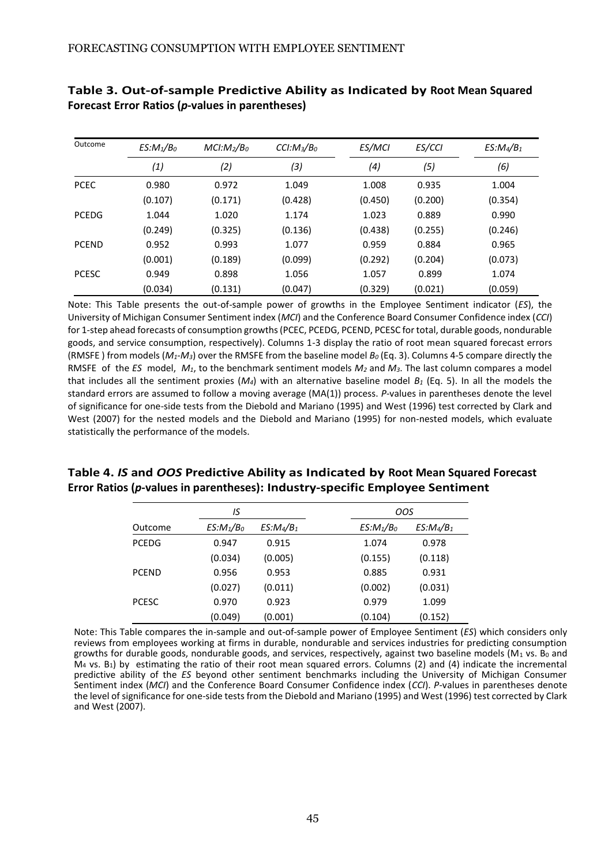| Outcome      | $ES:M_1/B_0$ | MCI: M <sub>2</sub> /B <sub>0</sub> | CCI: M <sub>3</sub> /B <sub>0</sub> | ES/MCI  | ES/CCI  | $ES:Ma/B_1$ |
|--------------|--------------|-------------------------------------|-------------------------------------|---------|---------|-------------|
|              | (1)          | (2)                                 | (3)                                 | (4)     | (5)     | (6)         |
| <b>PCEC</b>  | 0.980        | 0.972                               | 1.049                               | 1.008   | 0.935   | 1.004       |
|              | (0.107)      | (0.171)                             | (0.428)                             | (0.450) | (0.200) | (0.354)     |
| <b>PCEDG</b> | 1.044        | 1.020                               | 1.174                               | 1.023   | 0.889   | 0.990       |
|              | (0.249)      | (0.325)                             | (0.136)                             | (0.438) | (0.255) | (0.246)     |
| <b>PCEND</b> | 0.952        | 0.993                               | 1.077                               | 0.959   | 0.884   | 0.965       |
|              | (0.001)      | (0.189)                             | (0.099)                             | (0.292) | (0.204) | (0.073)     |
| <b>PCESC</b> | 0.949        | 0.898                               | 1.056                               | 1.057   | 0.899   | 1.074       |
|              | (0.034)      | (0.131)                             | (0.047)                             | (0.329) | (0.021) | (0.059)     |

# **Table 3. Out-of-sample Predictive Ability as Indicated by Root Mean Squared Forecast Error Ratios (***p***-values in parentheses)**

Note: This Table presents the out-of-sample power of growths in the Employee Sentiment indicator (*ES*), the University of Michigan Consumer Sentiment index (*MCI*) and the Conference Board Consumer Confidence index (*CCI*) for 1-step ahead forecasts of consumption growths (PCEC, PCEDG, PCEND, PCESC for total, durable goods, nondurable goods, and service consumption, respectively). Columns 1-3 display the ratio of root mean squared forecast errors (RMSFE ) from models (*M1-M3*) over the RMSFE from the baseline model *B<sup>0</sup>* (Eq[. 3\).](#page-20-0) Columns 4-5 compare directly the RMSFE of the *ES* model, *M1*, to the benchmark sentiment models *M<sup>2</sup>* and *M3*. The last column compares a model that includes all the sentiment proxies (*M4*) with an alternative baseline model *B<sup>1</sup>* (Eq. 5). In all the models the standard errors are assumed to follow a moving average (MA(1)) process. *P*-values in parentheses denote the level of significance for one-side tests from the [Diebold and Mariano \(1995\) a](#page-35-6)nd [West \(](#page-41-5)1996) test corrected by [Clark and](#page-35-7)  [West \(2007\) f](#page-35-7)or the nested models and the [Diebold and Mariano \(1995\) f](#page-35-6)or non-nested models, which evaluate statistically the performance of the models.

# **Table 4.** *IS* **and** *OOS* **Predictive Ability as Indicated by Root Mean Squared Forecast Error Ratios (***p***-values in parentheses): Industry-specific Employee Sentiment**

| IS           |              |             | OOS                         |
|--------------|--------------|-------------|-----------------------------|
| Outcome      | $ES:M_1/B_0$ | $ES:Ma/B_1$ | $ES:Ma/B_1$<br>$ES:M_1/B_0$ |
| <b>PCEDG</b> | 0.947        | 0.915       | 0.978<br>1.074              |
|              | (0.034)      | (0.005)     | (0.118)<br>(0.155)          |
| <b>PCEND</b> | 0.956        | 0.953       | 0.931<br>0.885              |
|              | (0.027)      | (0.011)     | (0.002)<br>(0.031)          |
| <b>PCESC</b> | 0.970        | 0.923       | 1.099<br>0.979              |
|              | (0.049)      | (0.001)     | (0.152)<br>(0.104)          |

Note: This Table compares the in-sample and out-of-sample power of Employee Sentiment (*ES*) which considers only reviews from employees working at firms in durable, nondurable and services industries for predicting consumption growths for durable goods, nondurable goods, and services, respectively, against two baseline models ( $M_1$  vs. B<sub>0</sub> and  $M_4$  vs.  $B_1$ ) by estimating the ratio of their root mean squared errors. Columns (2) and (4) indicate the incremental predictive ability of the *ES* beyond other sentiment benchmarks including the University of Michigan Consumer Sentiment index (*MCI*) and the Conference Board Consumer Confidence index (*CCI*). *P*-values in parentheses denote the level of significance for one-side tests from th[e Diebold and Mariano](#page-35-6) [\(1995\)](#page-35-6) an[d West](#page-41-5) [\(1996\)](#page-41-5) test corrected b[y Clark](#page-35-7)  [and West](#page-35-7) [\(2007\).](#page-35-7)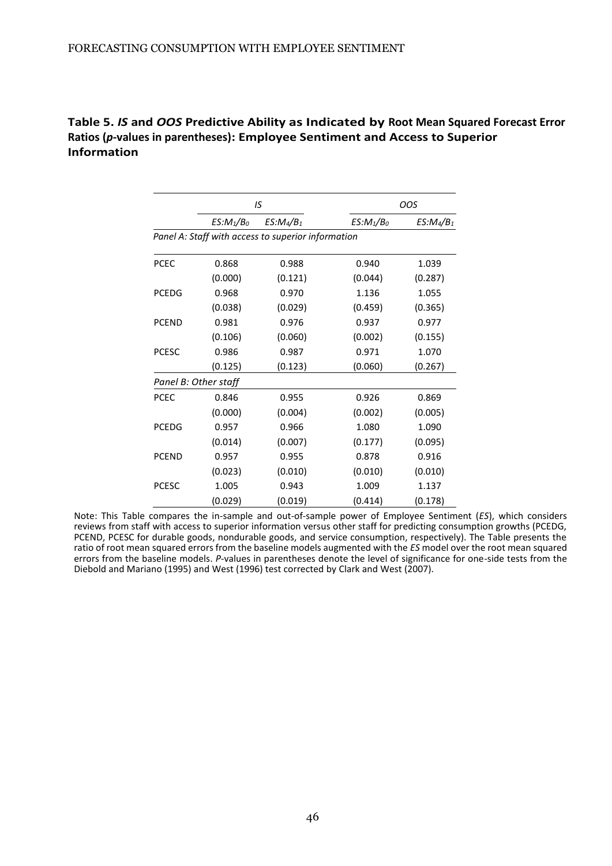|              |                      | IS                                                 |              | OOS         |
|--------------|----------------------|----------------------------------------------------|--------------|-------------|
|              | $ES:M_1/B_0$         | $ES:Ma/B_1$                                        | $ES:M_1/B_0$ | $ES:Ma/B_1$ |
|              |                      | Panel A: Staff with access to superior information |              |             |
| <b>PCEC</b>  | 0.868                | 0.988                                              | 0.940        | 1.039       |
|              | (0.000)              | (0.121)                                            | (0.044)      | (0.287)     |
| <b>PCEDG</b> | 0.968                | 0.970                                              | 1.136        | 1.055       |
|              | (0.038)              | (0.029)                                            | (0.459)      | (0.365)     |
| <b>PCEND</b> | 0.981                | 0.976                                              | 0.937        | 0.977       |
|              | (0.106)              | (0.060)                                            | (0.002)      | (0.155)     |
| <b>PCESC</b> | 0.986                | 0.987                                              | 0.971        | 1.070       |
|              | (0.125)              | (0.123)                                            | (0.060)      | (0.267)     |
|              | Panel B: Other staff |                                                    |              |             |
| PCEC         | 0.846                | 0.955                                              | 0.926        | 0.869       |
|              | (0.000)              | (0.004)                                            | (0.002)      | (0.005)     |
| <b>PCEDG</b> | 0.957                | 0.966                                              | 1.080        | 1.090       |
|              | (0.014)              | (0.007)                                            | (0.177)      | (0.095)     |
| <b>PCEND</b> | 0.957                | 0.955                                              | 0.878        | 0.916       |
|              | (0.023)              | (0.010)                                            | (0.010)      | (0.010)     |
| <b>PCESC</b> | 1.005                | 0.943                                              | 1.009        | 1.137       |
|              | (0.029)              | (0.019)                                            | (0.414)      | (0.178)     |

**Table 5.** *IS* **and** *OOS* **Predictive Ability as Indicated by Root Mean Squared Forecast Error Ratios (***p***-values in parentheses): Employee Sentiment and Access to Superior Information**

Note: This Table compares the in-sample and out-of-sample power of Employee Sentiment (*ES*), which considers reviews from staff with access to superior information versus other staff for predicting consumption growths (PCEDG, PCEND, PCESC for durable goods, nondurable goods, and service consumption, respectively). The Table presents the ratio of root mean squared errors from the baseline models augmented with the *ES* model over the root mean squared errors from the baseline models. *P*-values in parentheses denote the level of significance for one-side tests from the [Diebold](#page-35-6) [and Mariano \(1995\) a](#page-35-6)nd [West \(1996\) t](#page-41-5)est corrected b[y Clark and West \(2007\).](#page-35-7)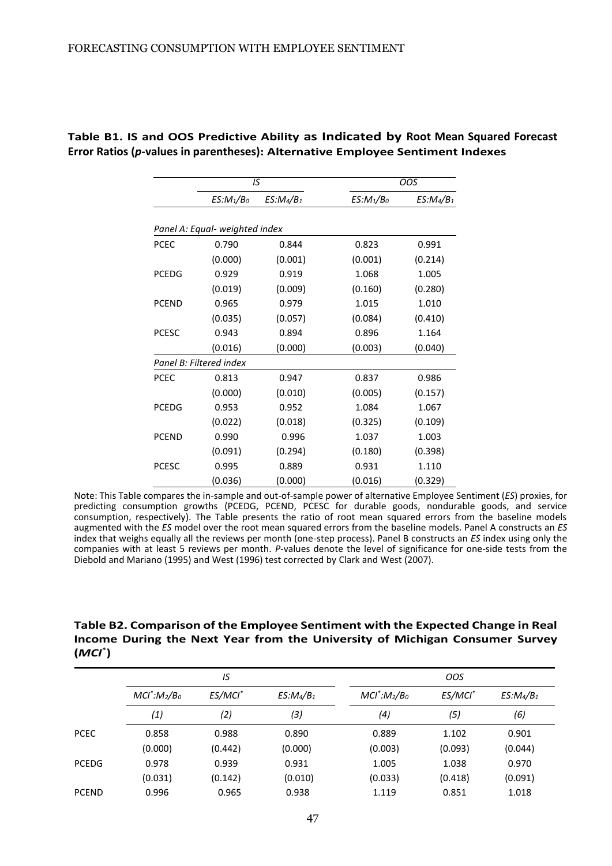<span id="page-46-0"></span>

|              | IS                             |             |              | <b>OOS</b>  |
|--------------|--------------------------------|-------------|--------------|-------------|
|              | $ES:M_1/B_0$                   | $ES:Ma/B_1$ | $ES:M_1/B_0$ | $ES:Ma/B_1$ |
|              | Panel A: Equal- weighted index |             |              |             |
| <b>PCEC</b>  | 0.790                          | 0.844       | 0.823        | 0.991       |
|              | (0.000)                        | (0.001)     | (0.001)      | (0.214)     |
| <b>PCEDG</b> | 0.929                          | 0.919       | 1.068        | 1.005       |
|              | (0.019)                        | (0.009)     | (0.160)      | (0.280)     |
| <b>PCEND</b> | 0.965                          | 0.979       | 1.015        | 1.010       |
|              | (0.035)                        | (0.057)     | (0.084)      | (0.410)     |
| <b>PCESC</b> | 0.943                          | 0.894       | 0.896        | 1.164       |
|              | (0.016)                        | (0.000)     | (0.003)      | (0.040)     |
|              | Panel B: Filtered index        |             |              |             |
| <b>PCEC</b>  | 0.813                          | 0.947       | 0.837        | 0.986       |
|              | (0.000)                        | (0.010)     | (0.005)      | (0.157)     |
| <b>PCEDG</b> | 0.953                          | 0.952       | 1.084        | 1.067       |
|              | (0.022)                        | (0.018)     | (0.325)      | (0.109)     |
| <b>PCEND</b> | 0.990                          | 0.996       | 1.037        | 1.003       |
|              | (0.091)                        | (0.294)     | (0.180)      | (0.398)     |
| <b>PCESC</b> | 0.995                          | 0.889       | 0.931        | 1.110       |
|              | (0.036)                        | (0.000)     | (0.016)      | (0.329)     |

**Table B1. IS and OOS Predictive Ability as Indicated by Root Mean Squared Forecast Error Ratios (***p***-values in parentheses): Alternative Employee Sentiment Indexes**

Note: This Table compares the in-sample and out-of-sample power of alternative Employee Sentiment (*ES*) proxies, for predicting consumption growths (PCEDG, PCEND, PCESC for durable goods, nondurable goods, and service consumption, respectively). The Table presents the ratio of root mean squared errors from the baseline models augmented with the *ES* model over the root mean squared errors from the baseline models. Panel A constructs an *ES* index that weighs equally all the reviews per month (one-step process). Panel B constructs an *ES* index using only the companies with at least 5 reviews per month. *P*-values denote the level of significance for one-side tests from the [Diebold](#page-22-0) [and Mariano \(1995\) a](#page-22-0)nd [West \(1996\) t](#page-33-3)est corrected b[y Clark and West \(2007\).](#page-20-0)

**Table B2. Comparison of the Employee Sentiment with the Expected Change in Real Income During the Next Year from the University of Michigan Consumer Survey (***MCI***\* )**

|              |                                                           | IS      |                                            | <b>OOS</b> |             |         |  |
|--------------|-----------------------------------------------------------|---------|--------------------------------------------|------------|-------------|---------|--|
|              | $MCl^*$ : $M_2/B_0$<br>ES/MCI <sup>*</sup><br>$ES:Ma/B_1$ |         | $MCl^*$ : $M_2/B_0$<br>ES/MCI <sup>*</sup> |            | $ES:Ma/B_1$ |         |  |
|              | (1)                                                       | (2)     | (3)                                        | (4)        | (5)         | (6)     |  |
| <b>PCEC</b>  | 0.858                                                     | 0.988   | 0.890                                      | 0.889      | 1.102       | 0.901   |  |
|              | (0.000)                                                   | (0.442) | (0.000)                                    | (0.003)    | (0.093)     | (0.044) |  |
| <b>PCEDG</b> | 0.978                                                     | 0.939   | 0.931                                      | 1.005      | 1.038       | 0.970   |  |
|              | (0.031)                                                   | (0.142) | (0.010)                                    | (0.033)    | (0.418)     | (0.091) |  |
| <b>PCEND</b> | 0.996                                                     | 0.965   | 0.938                                      | 1.119      | 0.851       | 1.018   |  |